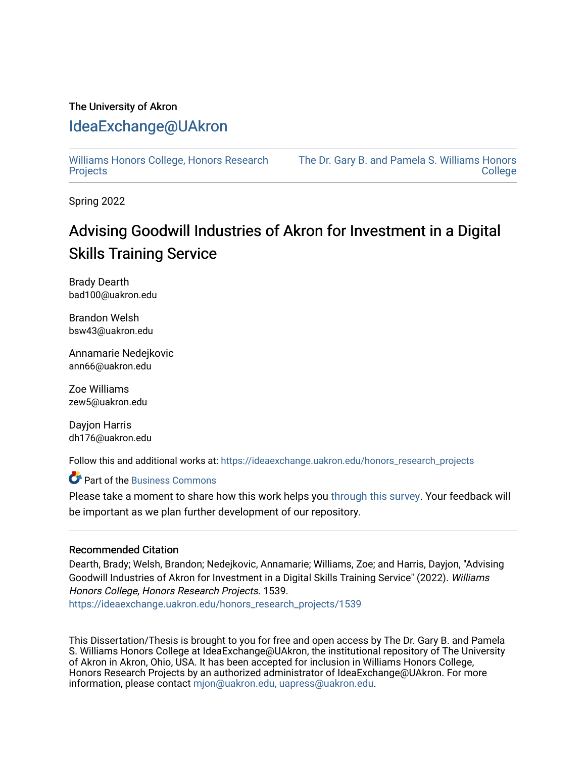# The University of Akron

# [IdeaExchange@UAkron](https://ideaexchange.uakron.edu/)

[Williams Honors College, Honors Research](https://ideaexchange.uakron.edu/honors_research_projects)  **[Projects](https://ideaexchange.uakron.edu/honors_research_projects)** 

[The Dr. Gary B. and Pamela S. Williams Honors](https://ideaexchange.uakron.edu/honorscollege_ideas)  **College** 

Spring 2022

# Advising Goodwill Industries of Akron for Investment in a Digital Skills Training Service

Brady Dearth bad100@uakron.edu

Brandon Welsh bsw43@uakron.edu

Annamarie Nedejkovic ann66@uakron.edu

Zoe Williams zew5@uakron.edu

Dayjon Harris dh176@uakron.edu

Follow this and additional works at: [https://ideaexchange.uakron.edu/honors\\_research\\_projects](https://ideaexchange.uakron.edu/honors_research_projects?utm_source=ideaexchange.uakron.edu%2Fhonors_research_projects%2F1539&utm_medium=PDF&utm_campaign=PDFCoverPages) 

# **C** Part of the [Business Commons](http://network.bepress.com/hgg/discipline/622?utm_source=ideaexchange.uakron.edu%2Fhonors_research_projects%2F1539&utm_medium=PDF&utm_campaign=PDFCoverPages)

Please take a moment to share how this work helps you [through this survey](http://survey.az1.qualtrics.com/SE/?SID=SV_eEVH54oiCbOw05f&URL=https://ideaexchange.uakron.edu/honors_research_projects/1539). Your feedback will be important as we plan further development of our repository.

### Recommended Citation

Dearth, Brady; Welsh, Brandon; Nedejkovic, Annamarie; Williams, Zoe; and Harris, Dayjon, "Advising Goodwill Industries of Akron for Investment in a Digital Skills Training Service" (2022). Williams Honors College, Honors Research Projects. 1539.

[https://ideaexchange.uakron.edu/honors\\_research\\_projects/1539](https://ideaexchange.uakron.edu/honors_research_projects/1539?utm_source=ideaexchange.uakron.edu%2Fhonors_research_projects%2F1539&utm_medium=PDF&utm_campaign=PDFCoverPages) 

This Dissertation/Thesis is brought to you for free and open access by The Dr. Gary B. and Pamela S. Williams Honors College at IdeaExchange@UAkron, the institutional repository of The University of Akron in Akron, Ohio, USA. It has been accepted for inclusion in Williams Honors College, Honors Research Projects by an authorized administrator of IdeaExchange@UAkron. For more information, please contact [mjon@uakron.edu, uapress@uakron.edu.](mailto:mjon@uakron.edu,%20uapress@uakron.edu)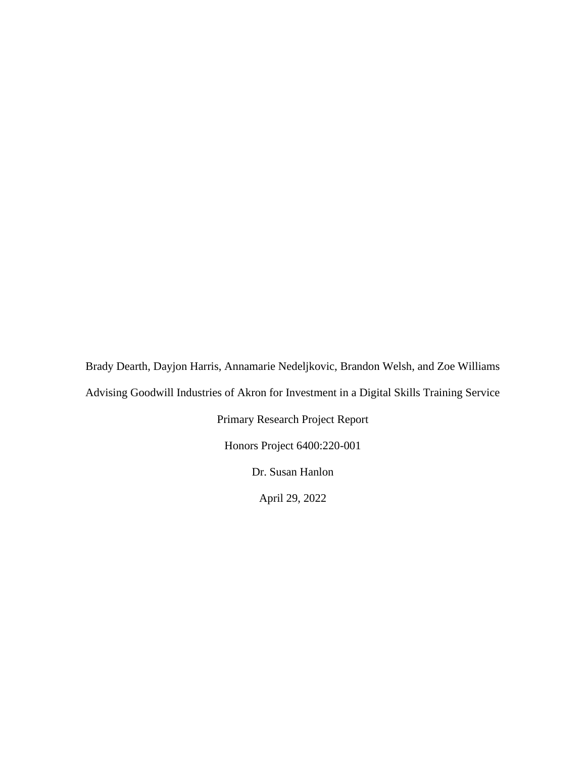Brady Dearth, Dayjon Harris, Annamarie Nedeljkovic, Brandon Welsh, and Zoe Williams Advising Goodwill Industries of Akron for Investment in a Digital Skills Training Service Primary Research Project Report Honors Project 6400:220-001 Dr. Susan Hanlon

April 29, 2022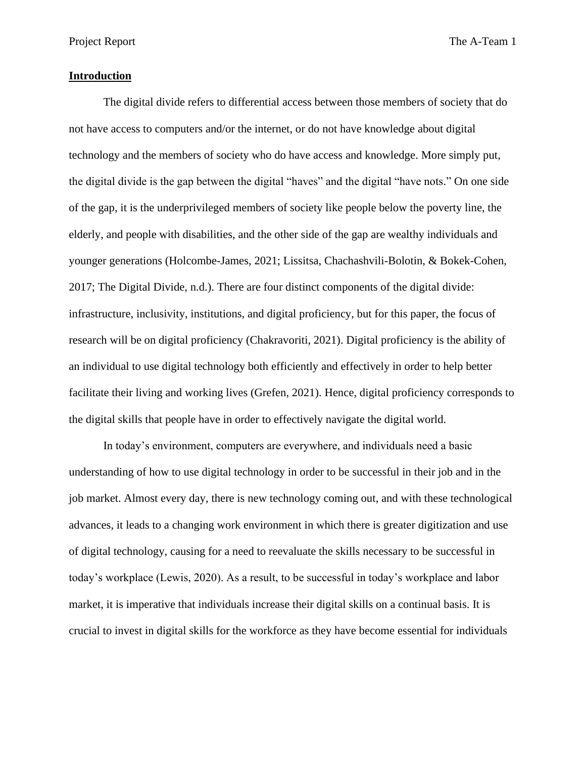#### **Introduction**

The digital divide refers to differential access between those members of society that do not have access to computers and/or the internet, or do not have knowledge about digital technology and the members of society who do have access and knowledge. More simply put, the digital divide is the gap between the digital "haves" and the digital "have nots." On one side of the gap, it is the underprivileged members of society like people below the poverty line, the elderly, and people with disabilities, and the other side of the gap are wealthy individuals and younger generations (Holcombe-James, 2021; Lissitsa, Chachashvili-Bolotin, & Bokek-Cohen, 2017; The Digital Divide, n.d.). There are four distinct components of the digital divide: infrastructure, inclusivity, institutions, and digital proficiency, but for this paper, the focus of research will be on digital proficiency (Chakravoriti, 2021). Digital proficiency is the ability of an individual to use digital technology both efficiently and effectively in order to help better facilitate their living and working lives (Grefen, 2021). Hence, digital proficiency corresponds to the digital skills that people have in order to effectively navigate the digital world.

In today's environment, computers are everywhere, and individuals need a basic understanding of how to use digital technology in order to be successful in their job and in the job market. Almost every day, there is new technology coming out, and with these technological advances, it leads to a changing work environment in which there is greater digitization and use of digital technology, causing for a need to reevaluate the skills necessary to be successful in today's workplace (Lewis, 2020). As a result, to be successful in today's workplace and labor market, it is imperative that individuals increase their digital skills on a continual basis. It is crucial to invest in digital skills for the workforce as they have become essential for individuals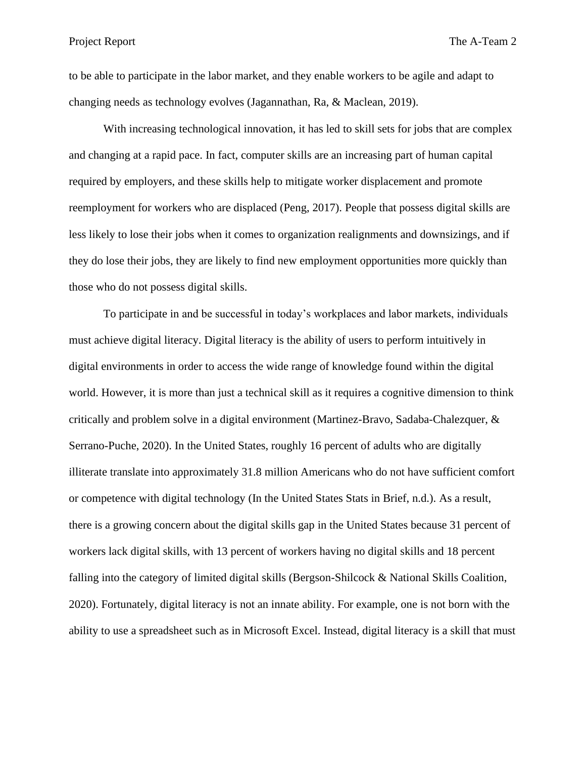to be able to participate in the labor market, and they enable workers to be agile and adapt to changing needs as technology evolves (Jagannathan, Ra, & Maclean, 2019).

With increasing technological innovation, it has led to skill sets for jobs that are complex and changing at a rapid pace. In fact, computer skills are an increasing part of human capital required by employers, and these skills help to mitigate worker displacement and promote reemployment for workers who are displaced (Peng, 2017). People that possess digital skills are less likely to lose their jobs when it comes to organization realignments and downsizings, and if they do lose their jobs, they are likely to find new employment opportunities more quickly than those who do not possess digital skills.

To participate in and be successful in today's workplaces and labor markets, individuals must achieve digital literacy. Digital literacy is the ability of users to perform intuitively in digital environments in order to access the wide range of knowledge found within the digital world. However, it is more than just a technical skill as it requires a cognitive dimension to think critically and problem solve in a digital environment (Martinez-Bravo, Sadaba-Chalezquer, & Serrano-Puche, 2020). In the United States, roughly 16 percent of adults who are digitally illiterate translate into approximately 31.8 million Americans who do not have sufficient comfort or competence with digital technology (In the United States Stats in Brief, n.d.). As a result, there is a growing concern about the digital skills gap in the United States because 31 percent of workers lack digital skills, with 13 percent of workers having no digital skills and 18 percent falling into the category of limited digital skills (Bergson-Shilcock & National Skills Coalition, 2020). Fortunately, digital literacy is not an innate ability. For example, one is not born with the ability to use a spreadsheet such as in Microsoft Excel. Instead, digital literacy is a skill that must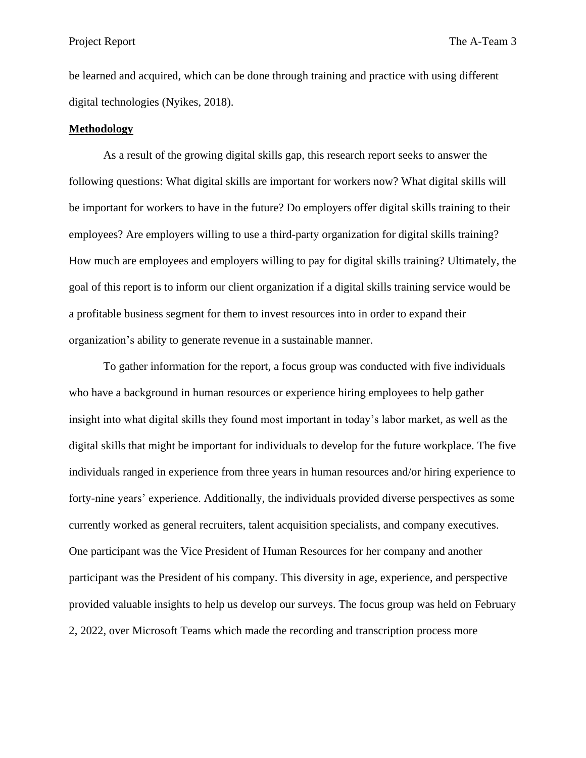be learned and acquired, which can be done through training and practice with using different digital technologies (Nyikes, 2018).

#### **Methodology**

As a result of the growing digital skills gap, this research report seeks to answer the following questions: What digital skills are important for workers now? What digital skills will be important for workers to have in the future? Do employers offer digital skills training to their employees? Are employers willing to use a third-party organization for digital skills training? How much are employees and employers willing to pay for digital skills training? Ultimately, the goal of this report is to inform our client organization if a digital skills training service would be a profitable business segment for them to invest resources into in order to expand their organization's ability to generate revenue in a sustainable manner.

To gather information for the report, a focus group was conducted with five individuals who have a background in human resources or experience hiring employees to help gather insight into what digital skills they found most important in today's labor market, as well as the digital skills that might be important for individuals to develop for the future workplace. The five individuals ranged in experience from three years in human resources and/or hiring experience to forty-nine years' experience. Additionally, the individuals provided diverse perspectives as some currently worked as general recruiters, talent acquisition specialists, and company executives. One participant was the Vice President of Human Resources for her company and another participant was the President of his company. This diversity in age, experience, and perspective provided valuable insights to help us develop our surveys. The focus group was held on February 2, 2022, over Microsoft Teams which made the recording and transcription process more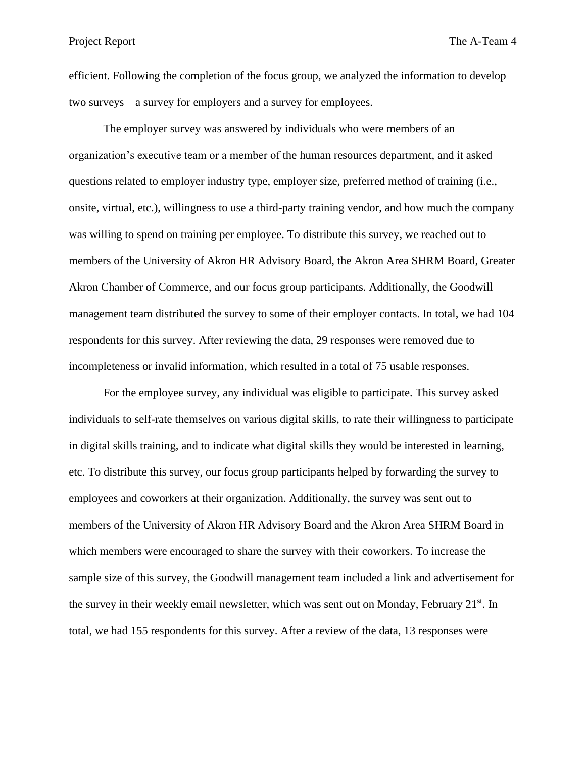efficient. Following the completion of the focus group, we analyzed the information to develop two surveys – a survey for employers and a survey for employees.

The employer survey was answered by individuals who were members of an organization's executive team or a member of the human resources department, and it asked questions related to employer industry type, employer size, preferred method of training (i.e., onsite, virtual, etc.), willingness to use a third-party training vendor, and how much the company was willing to spend on training per employee. To distribute this survey, we reached out to members of the University of Akron HR Advisory Board, the Akron Area SHRM Board, Greater Akron Chamber of Commerce, and our focus group participants. Additionally, the Goodwill management team distributed the survey to some of their employer contacts. In total, we had 104 respondents for this survey. After reviewing the data, 29 responses were removed due to incompleteness or invalid information, which resulted in a total of 75 usable responses.

For the employee survey, any individual was eligible to participate. This survey asked individuals to self-rate themselves on various digital skills, to rate their willingness to participate in digital skills training, and to indicate what digital skills they would be interested in learning, etc. To distribute this survey, our focus group participants helped by forwarding the survey to employees and coworkers at their organization. Additionally, the survey was sent out to members of the University of Akron HR Advisory Board and the Akron Area SHRM Board in which members were encouraged to share the survey with their coworkers. To increase the sample size of this survey, the Goodwill management team included a link and advertisement for the survey in their weekly email newsletter, which was sent out on Monday, February 21<sup>st</sup>. In total, we had 155 respondents for this survey. After a review of the data, 13 responses were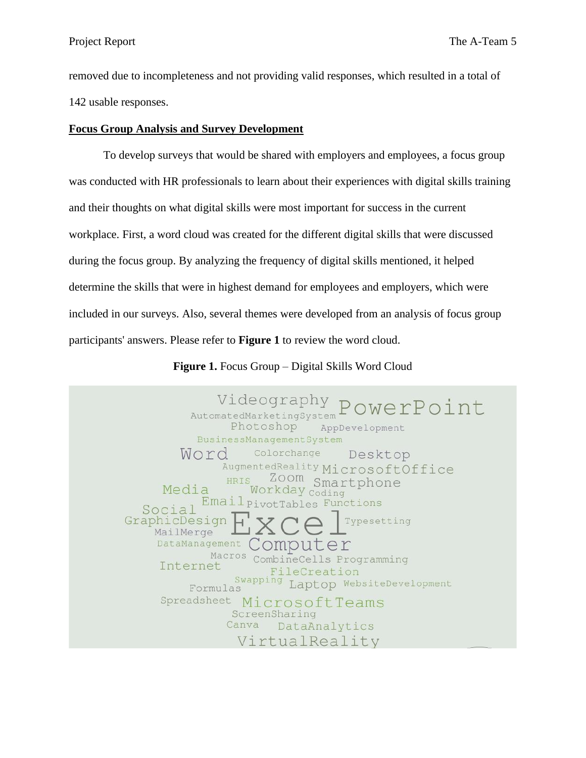removed due to incompleteness and not providing valid responses, which resulted in a total of 142 usable responses.

### **Focus Group Analysis and Survey Development**

To develop surveys that would be shared with employers and employees, a focus group was conducted with HR professionals to learn about their experiences with digital skills training and their thoughts on what digital skills were most important for success in the current workplace. First, a word cloud was created for the different digital skills that were discussed during the focus group. By analyzing the frequency of digital skills mentioned, it helped determine the skills that were in highest demand for employees and employers, which were included in our surveys. Also, several themes were developed from an analysis of focus group participants' answers. Please refer to **Figure 1** to review the word cloud.

Videography PowerPoint AutomatedMarketingSystem Photoshop AppDevelopment **BusinessManagementSystem** Colorchange Word Desktop AugmentedReality MicrosoftOffice Zoom Smartphone HRIS Workday Coding Media Email<sub>PivotTables</sub> Functions Social GraphicDesign Typesetting MailMerge DataManagement Comput Macros CombineCells Programming Internet FileCreation Swapping Laptop WebsiteDevelopment Formulas Spreadsheet MicrosoftTeams ScreenSharing Canva DataAnalytics VirtualReality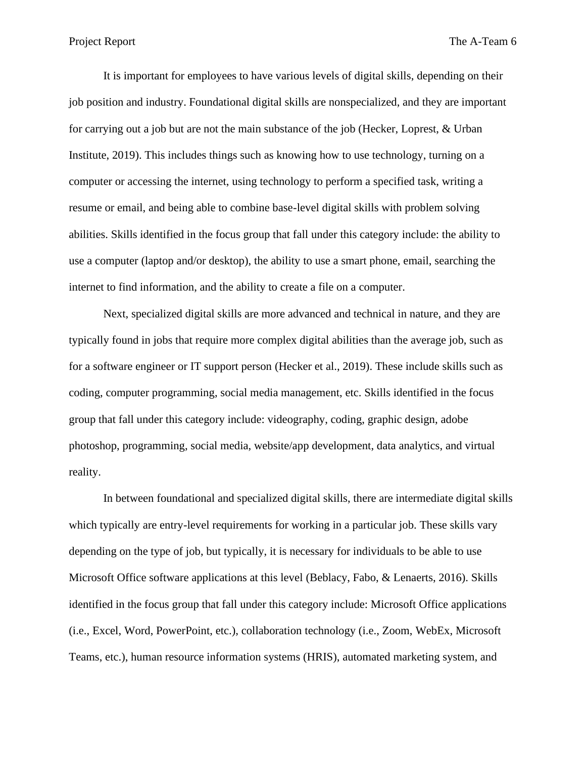It is important for employees to have various levels of digital skills, depending on their job position and industry. Foundational digital skills are nonspecialized, and they are important for carrying out a job but are not the main substance of the job (Hecker, Loprest, & Urban Institute, 2019). This includes things such as knowing how to use technology, turning on a computer or accessing the internet, using technology to perform a specified task, writing a resume or email, and being able to combine base-level digital skills with problem solving abilities. Skills identified in the focus group that fall under this category include: the ability to use a computer (laptop and/or desktop), the ability to use a smart phone, email, searching the internet to find information, and the ability to create a file on a computer.

Next, specialized digital skills are more advanced and technical in nature, and they are typically found in jobs that require more complex digital abilities than the average job, such as for a software engineer or IT support person (Hecker et al., 2019). These include skills such as coding, computer programming, social media management, etc. Skills identified in the focus group that fall under this category include: videography, coding, graphic design, adobe photoshop, programming, social media, website/app development, data analytics, and virtual reality.

In between foundational and specialized digital skills, there are intermediate digital skills which typically are entry-level requirements for working in a particular job. These skills vary depending on the type of job, but typically, it is necessary for individuals to be able to use Microsoft Office software applications at this level (Beblacy, Fabo, & Lenaerts, 2016). Skills identified in the focus group that fall under this category include: Microsoft Office applications (i.e., Excel, Word, PowerPoint, etc.), collaboration technology (i.e., Zoom, WebEx, Microsoft Teams, etc.), human resource information systems (HRIS), automated marketing system, and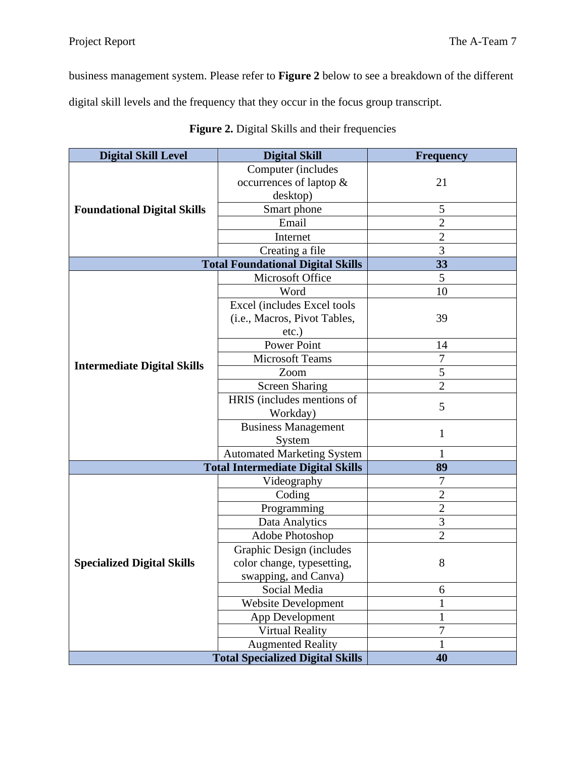business management system. Please refer to **Figure 2** below to see a breakdown of the different

digital skill levels and the frequency that they occur in the focus group transcript.

| <b>Digital Skill Level</b><br><b>Digital Skill</b> |                                          | <b>Frequency</b> |
|----------------------------------------------------|------------------------------------------|------------------|
|                                                    | Computer (includes                       |                  |
| <b>Foundational Digital Skills</b>                 | occurrences of laptop &                  | 21               |
|                                                    | desktop)                                 |                  |
|                                                    | Smart phone                              | 5                |
|                                                    | Email                                    | $\overline{2}$   |
|                                                    | Internet                                 | $\overline{2}$   |
|                                                    | Creating a file                          | $\overline{3}$   |
|                                                    | <b>Total Foundational Digital Skills</b> | 33               |
|                                                    | Microsoft Office                         | 5                |
|                                                    | Word                                     | 10               |
|                                                    | Excel (includes Excel tools              |                  |
|                                                    | (i.e., Macros, Pivot Tables,             | 39               |
|                                                    | $etc.$ )                                 |                  |
|                                                    | Power Point                              | 14               |
| <b>Intermediate Digital Skills</b>                 | <b>Microsoft Teams</b>                   | $\overline{7}$   |
|                                                    | Zoom                                     | 5                |
|                                                    | <b>Screen Sharing</b>                    | $\overline{2}$   |
|                                                    | HRIS (includes mentions of               | 5                |
|                                                    | Workday)                                 |                  |
|                                                    | <b>Business Management</b>               | $\mathbf{1}$     |
|                                                    | System                                   |                  |
|                                                    | <b>Automated Marketing System</b>        | 1                |
|                                                    | <b>Total Intermediate Digital Skills</b> | 89               |
|                                                    | Videography                              | $\boldsymbol{7}$ |
|                                                    | Coding                                   | $\overline{2}$   |
|                                                    | Programming                              | $\overline{2}$   |
|                                                    | Data Analytics                           | $\overline{3}$   |
|                                                    | Adobe Photoshop                          | $\overline{2}$   |
|                                                    | Graphic Design (includes                 |                  |
| <b>Specialized Digital Skills</b>                  | color change, typesetting,               | 8                |
|                                                    | swapping, and Canva)                     |                  |
|                                                    | Social Media<br>6                        |                  |
|                                                    | <b>Website Development</b>               | $\mathbf{1}$     |
|                                                    | App Development                          | $\mathbf{1}$     |
|                                                    | <b>Virtual Reality</b>                   | $\overline{7}$   |
|                                                    | <b>Augmented Reality</b>                 | 1                |
|                                                    | <b>Total Specialized Digital Skills</b>  | 40               |

| Figure 2. Digital Skills and their frequencies |  |  |  |
|------------------------------------------------|--|--|--|
|------------------------------------------------|--|--|--|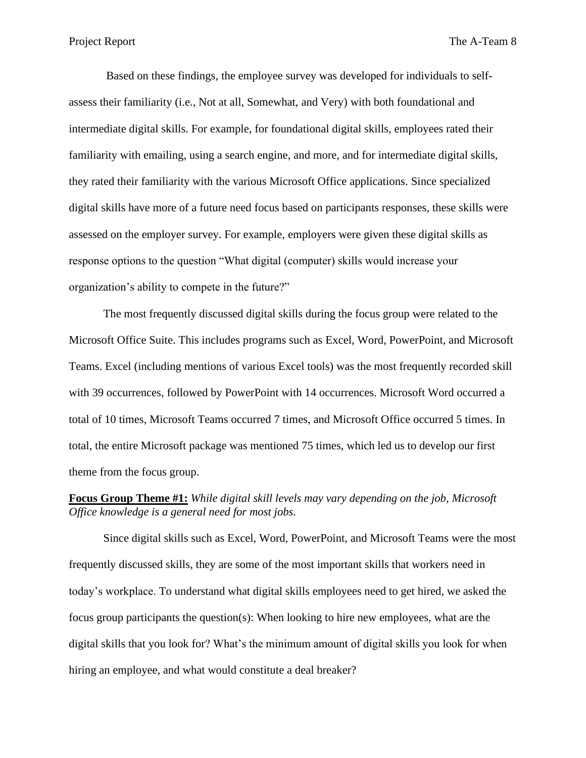Based on these findings, the employee survey was developed for individuals to selfassess their familiarity (i.e., Not at all, Somewhat, and Very) with both foundational and intermediate digital skills. For example, for foundational digital skills, employees rated their familiarity with emailing, using a search engine, and more, and for intermediate digital skills, they rated their familiarity with the various Microsoft Office applications. Since specialized digital skills have more of a future need focus based on participants responses, these skills were assessed on the employer survey. For example, employers were given these digital skills as response options to the question "What digital (computer) skills would increase your organization's ability to compete in the future?"

The most frequently discussed digital skills during the focus group were related to the Microsoft Office Suite. This includes programs such as Excel, Word, PowerPoint, and Microsoft Teams. Excel (including mentions of various Excel tools) was the most frequently recorded skill with 39 occurrences, followed by PowerPoint with 14 occurrences. Microsoft Word occurred a total of 10 times, Microsoft Teams occurred 7 times, and Microsoft Office occurred 5 times. In total, the entire Microsoft package was mentioned 75 times, which led us to develop our first theme from the focus group.

# **Focus Group Theme #1:** *While digital skill levels may vary depending on the job, Microsoft Office knowledge is a general need for most jobs.*

Since digital skills such as Excel, Word, PowerPoint, and Microsoft Teams were the most frequently discussed skills, they are some of the most important skills that workers need in today's workplace. To understand what digital skills employees need to get hired, we asked the focus group participants the question(s): When looking to hire new employees, what are the digital skills that you look for? What's the minimum amount of digital skills you look for when hiring an employee, and what would constitute a deal breaker?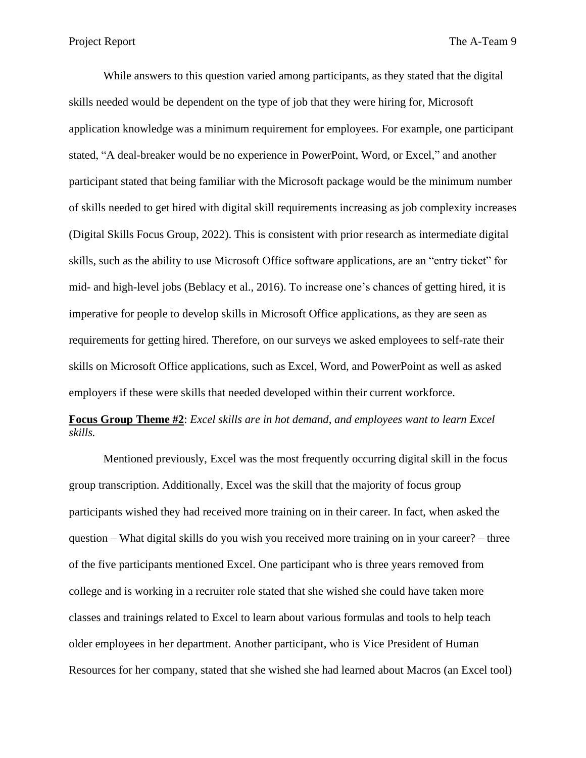While answers to this question varied among participants, as they stated that the digital skills needed would be dependent on the type of job that they were hiring for, Microsoft application knowledge was a minimum requirement for employees. For example, one participant stated, "A deal-breaker would be no experience in PowerPoint, Word, or Excel," and another participant stated that being familiar with the Microsoft package would be the minimum number of skills needed to get hired with digital skill requirements increasing as job complexity increases (Digital Skills Focus Group, 2022). This is consistent with prior research as intermediate digital skills, such as the ability to use Microsoft Office software applications, are an "entry ticket" for mid- and high-level jobs (Beblacy et al., 2016). To increase one's chances of getting hired, it is imperative for people to develop skills in Microsoft Office applications, as they are seen as requirements for getting hired. Therefore, on our surveys we asked employees to self-rate their skills on Microsoft Office applications, such as Excel, Word, and PowerPoint as well as asked employers if these were skills that needed developed within their current workforce.

# **Focus Group Theme #2**: *Excel skills are in hot demand*, *and employees want to learn Excel skills.*

Mentioned previously, Excel was the most frequently occurring digital skill in the focus group transcription. Additionally, Excel was the skill that the majority of focus group participants wished they had received more training on in their career. In fact, when asked the question – What digital skills do you wish you received more training on in your career? – three of the five participants mentioned Excel. One participant who is three years removed from college and is working in a recruiter role stated that she wished she could have taken more classes and trainings related to Excel to learn about various formulas and tools to help teach older employees in her department. Another participant, who is Vice President of Human Resources for her company, stated that she wished she had learned about Macros (an Excel tool)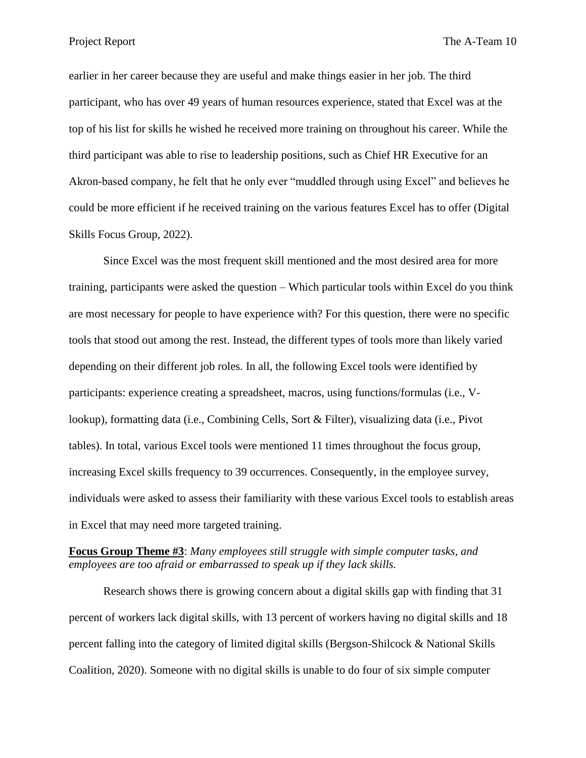Project Report The A-Team 10

earlier in her career because they are useful and make things easier in her job. The third participant, who has over 49 years of human resources experience, stated that Excel was at the top of his list for skills he wished he received more training on throughout his career. While the third participant was able to rise to leadership positions, such as Chief HR Executive for an Akron-based company, he felt that he only ever "muddled through using Excel" and believes he could be more efficient if he received training on the various features Excel has to offer (Digital Skills Focus Group, 2022).

Since Excel was the most frequent skill mentioned and the most desired area for more training, participants were asked the question – Which particular tools within Excel do you think are most necessary for people to have experience with? For this question, there were no specific tools that stood out among the rest. Instead, the different types of tools more than likely varied depending on their different job roles. In all, the following Excel tools were identified by participants: experience creating a spreadsheet, macros, using functions/formulas (i.e., Vlookup), formatting data (i.e., Combining Cells, Sort & Filter), visualizing data (i.e., Pivot tables). In total, various Excel tools were mentioned 11 times throughout the focus group, increasing Excel skills frequency to 39 occurrences. Consequently, in the employee survey, individuals were asked to assess their familiarity with these various Excel tools to establish areas in Excel that may need more targeted training.

# **Focus Group Theme #3**: *Many employees still struggle with simple computer tasks, and employees are too afraid or embarrassed to speak up if they lack skills.*

Research shows there is growing concern about a digital skills gap with finding that 31 percent of workers lack digital skills, with 13 percent of workers having no digital skills and 18 percent falling into the category of limited digital skills (Bergson-Shilcock & National Skills Coalition, 2020). Someone with no digital skills is unable to do four of six simple computer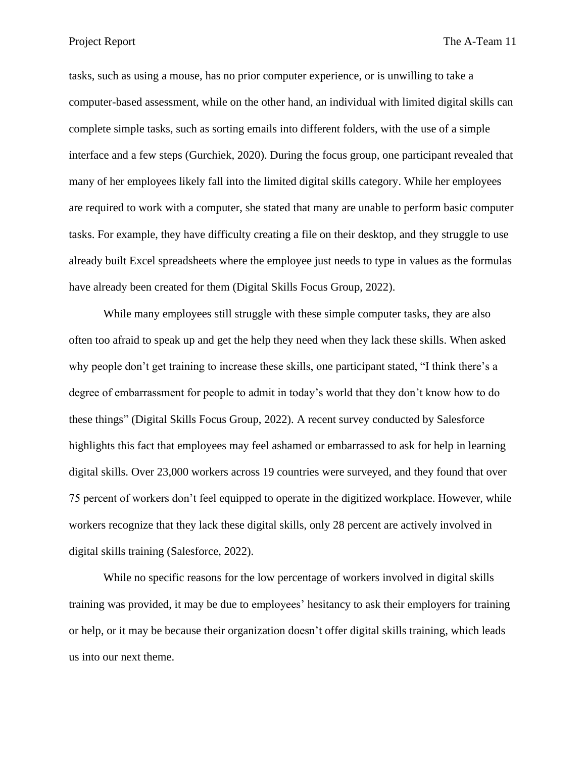tasks, such as using a mouse, has no prior computer experience, or is unwilling to take a computer-based assessment, while on the other hand, an individual with limited digital skills can complete simple tasks, such as sorting emails into different folders, with the use of a simple interface and a few steps (Gurchiek, 2020). During the focus group, one participant revealed that many of her employees likely fall into the limited digital skills category. While her employees are required to work with a computer, she stated that many are unable to perform basic computer tasks. For example, they have difficulty creating a file on their desktop, and they struggle to use already built Excel spreadsheets where the employee just needs to type in values as the formulas have already been created for them (Digital Skills Focus Group, 2022).

While many employees still struggle with these simple computer tasks, they are also often too afraid to speak up and get the help they need when they lack these skills. When asked why people don't get training to increase these skills, one participant stated, "I think there's a degree of embarrassment for people to admit in today's world that they don't know how to do these things" (Digital Skills Focus Group, 2022). A recent survey conducted by Salesforce highlights this fact that employees may feel ashamed or embarrassed to ask for help in learning digital skills. Over 23,000 workers across 19 countries were surveyed, and they found that over 75 percent of workers don't feel equipped to operate in the digitized workplace. However, while workers recognize that they lack these digital skills, only 28 percent are actively involved in digital skills training (Salesforce, 2022).

While no specific reasons for the low percentage of workers involved in digital skills training was provided, it may be due to employees' hesitancy to ask their employers for training or help, or it may be because their organization doesn't offer digital skills training, which leads us into our next theme.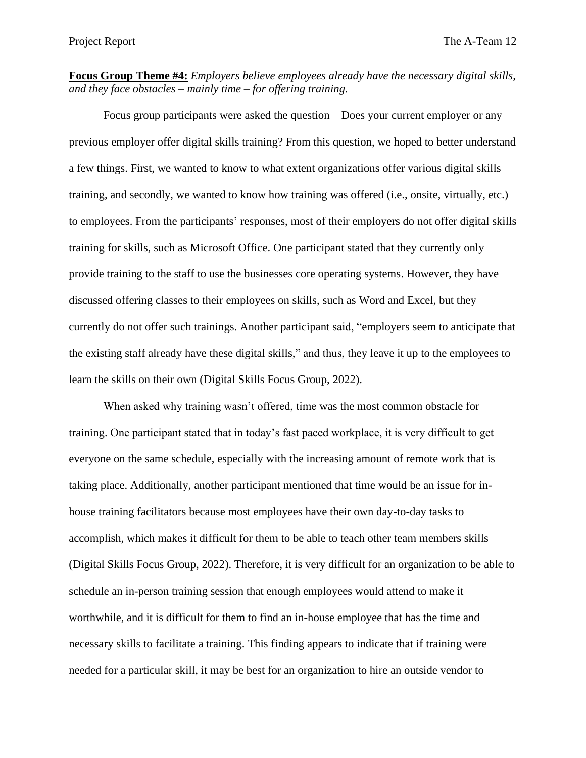**Focus Group Theme #4:** *Employers believe employees already have the necessary digital skills, and they face obstacles – mainly time – for offering training.*

Focus group participants were asked the question – Does your current employer or any previous employer offer digital skills training? From this question, we hoped to better understand a few things. First, we wanted to know to what extent organizations offer various digital skills training, and secondly, we wanted to know how training was offered (i.e., onsite, virtually, etc.) to employees. From the participants' responses, most of their employers do not offer digital skills training for skills, such as Microsoft Office. One participant stated that they currently only provide training to the staff to use the businesses core operating systems. However, they have discussed offering classes to their employees on skills, such as Word and Excel, but they currently do not offer such trainings. Another participant said, "employers seem to anticipate that the existing staff already have these digital skills," and thus, they leave it up to the employees to learn the skills on their own (Digital Skills Focus Group, 2022).

When asked why training wasn't offered, time was the most common obstacle for training. One participant stated that in today's fast paced workplace, it is very difficult to get everyone on the same schedule, especially with the increasing amount of remote work that is taking place. Additionally, another participant mentioned that time would be an issue for inhouse training facilitators because most employees have their own day-to-day tasks to accomplish, which makes it difficult for them to be able to teach other team members skills (Digital Skills Focus Group, 2022). Therefore, it is very difficult for an organization to be able to schedule an in-person training session that enough employees would attend to make it worthwhile, and it is difficult for them to find an in-house employee that has the time and necessary skills to facilitate a training. This finding appears to indicate that if training were needed for a particular skill, it may be best for an organization to hire an outside vendor to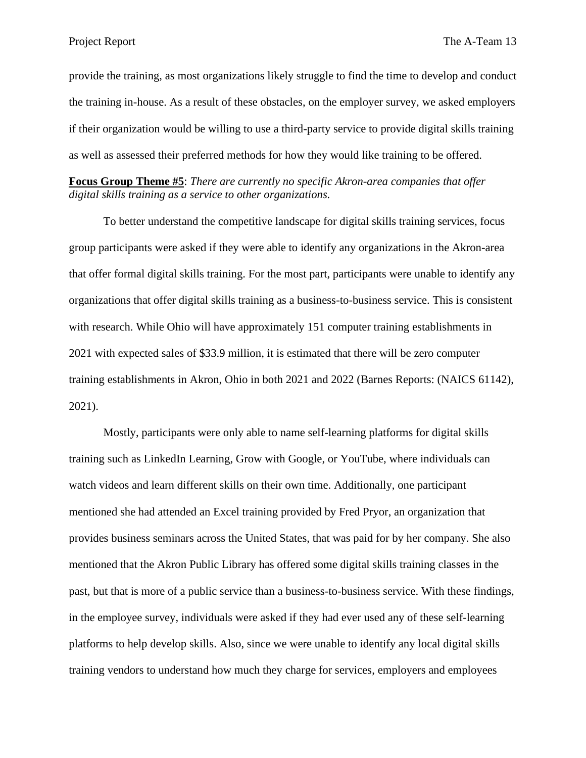provide the training, as most organizations likely struggle to find the time to develop and conduct the training in-house. As a result of these obstacles, on the employer survey, we asked employers if their organization would be willing to use a third-party service to provide digital skills training as well as assessed their preferred methods for how they would like training to be offered.

**Focus Group Theme #5**: *There are currently no specific Akron-area companies that offer digital skills training as a service to other organizations.*

To better understand the competitive landscape for digital skills training services, focus group participants were asked if they were able to identify any organizations in the Akron-area that offer formal digital skills training. For the most part, participants were unable to identify any organizations that offer digital skills training as a business-to-business service. This is consistent with research. While Ohio will have approximately 151 computer training establishments in 2021 with expected sales of \$33.9 million, it is estimated that there will be zero computer training establishments in Akron, Ohio in both 2021 and 2022 (Barnes Reports: (NAICS 61142), 2021).

Mostly, participants were only able to name self-learning platforms for digital skills training such as LinkedIn Learning, Grow with Google, or YouTube, where individuals can watch videos and learn different skills on their own time. Additionally, one participant mentioned she had attended an Excel training provided by Fred Pryor, an organization that provides business seminars across the United States, that was paid for by her company. She also mentioned that the Akron Public Library has offered some digital skills training classes in the past, but that is more of a public service than a business-to-business service. With these findings, in the employee survey, individuals were asked if they had ever used any of these self-learning platforms to help develop skills. Also, since we were unable to identify any local digital skills training vendors to understand how much they charge for services, employers and employees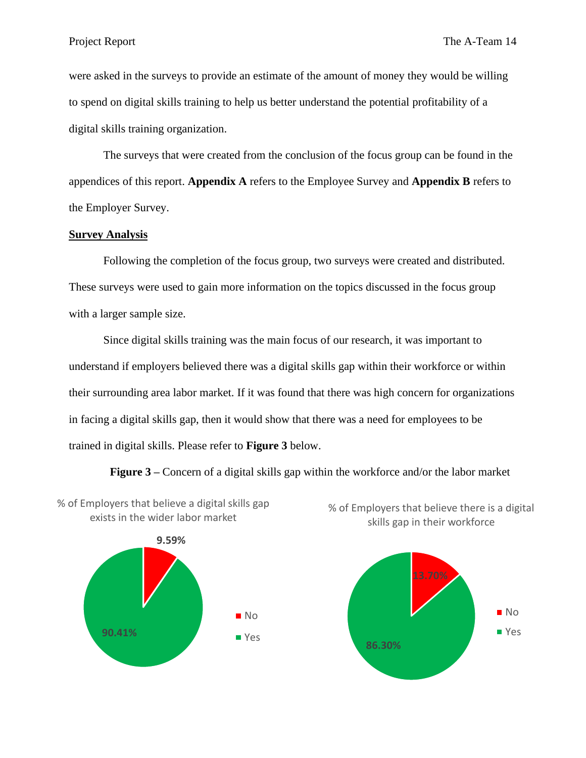were asked in the surveys to provide an estimate of the amount of money they would be willing to spend on digital skills training to help us better understand the potential profitability of a digital skills training organization.

The surveys that were created from the conclusion of the focus group can be found in the appendices of this report. **Appendix A** refers to the Employee Survey and **Appendix B** refers to the Employer Survey.

#### **Survey Analysis**

Following the completion of the focus group, two surveys were created and distributed. These surveys were used to gain more information on the topics discussed in the focus group with a larger sample size.

Since digital skills training was the main focus of our research, it was important to understand if employers believed there was a digital skills gap within their workforce or within their surrounding area labor market. If it was found that there was high concern for organizations in facing a digital skills gap, then it would show that there was a need for employees to be trained in digital skills. Please refer to **Figure 3** below.

**Figure 3 –** Concern of a digital skills gap within the workforce and/or the labor market





% of Employers that believe there is a digital

skills gap in their workforce

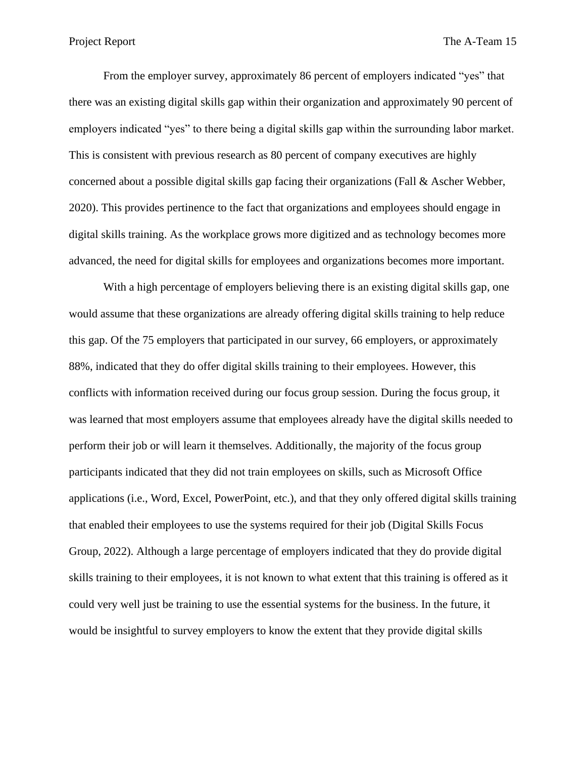From the employer survey, approximately 86 percent of employers indicated "yes" that there was an existing digital skills gap within their organization and approximately 90 percent of employers indicated "yes" to there being a digital skills gap within the surrounding labor market. This is consistent with previous research as 80 percent of company executives are highly concerned about a possible digital skills gap facing their organizations (Fall & Ascher Webber, 2020). This provides pertinence to the fact that organizations and employees should engage in digital skills training. As the workplace grows more digitized and as technology becomes more advanced, the need for digital skills for employees and organizations becomes more important.

With a high percentage of employers believing there is an existing digital skills gap, one would assume that these organizations are already offering digital skills training to help reduce this gap. Of the 75 employers that participated in our survey, 66 employers, or approximately 88%, indicated that they do offer digital skills training to their employees. However, this conflicts with information received during our focus group session. During the focus group, it was learned that most employers assume that employees already have the digital skills needed to perform their job or will learn it themselves. Additionally, the majority of the focus group participants indicated that they did not train employees on skills, such as Microsoft Office applications (i.e., Word, Excel, PowerPoint, etc.), and that they only offered digital skills training that enabled their employees to use the systems required for their job (Digital Skills Focus Group, 2022). Although a large percentage of employers indicated that they do provide digital skills training to their employees, it is not known to what extent that this training is offered as it could very well just be training to use the essential systems for the business. In the future, it would be insightful to survey employers to know the extent that they provide digital skills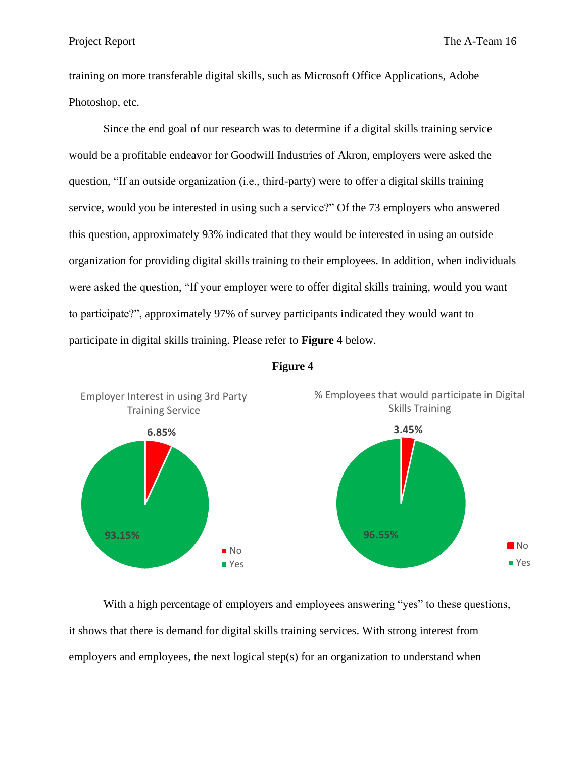training on more transferable digital skills, such as Microsoft Office Applications, Adobe Photoshop, etc.

Since the end goal of our research was to determine if a digital skills training service would be a profitable endeavor for Goodwill Industries of Akron, employers were asked the question, "If an outside organization (i.e., third-party) were to offer a digital skills training service, would you be interested in using such a service?" Of the 73 employers who answered this question, approximately 93% indicated that they would be interested in using an outside organization for providing digital skills training to their employees. In addition, when individuals were asked the question, "If your employer were to offer digital skills training, would you want to participate?", approximately 97% of survey participants indicated they would want to participate in digital skills training. Please refer to **Figure 4** below.





With a high percentage of employers and employees answering "yes" to these questions, it shows that there is demand for digital skills training services. With strong interest from employers and employees, the next logical step(s) for an organization to understand when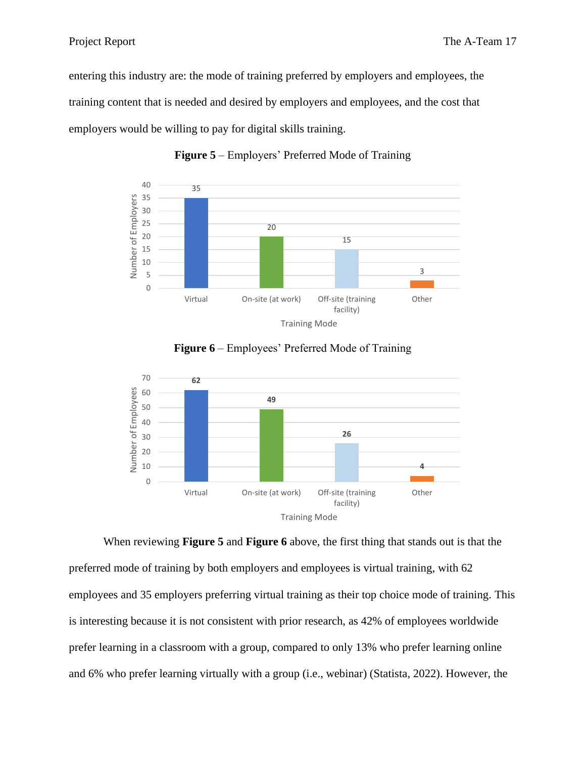entering this industry are: the mode of training preferred by employers and employees, the training content that is needed and desired by employers and employees, and the cost that employers would be willing to pay for digital skills training.



**Figure 5** – Employers' Preferred Mode of Training



**Figure 6** – Employees' Preferred Mode of Training

When reviewing **Figure 5** and **Figure 6** above, the first thing that stands out is that the preferred mode of training by both employers and employees is virtual training, with 62 employees and 35 employers preferring virtual training as their top choice mode of training. This is interesting because it is not consistent with prior research, as 42% of employees worldwide prefer learning in a classroom with a group, compared to only 13% who prefer learning online and 6% who prefer learning virtually with a group (i.e., webinar) (Statista, 2022). However, the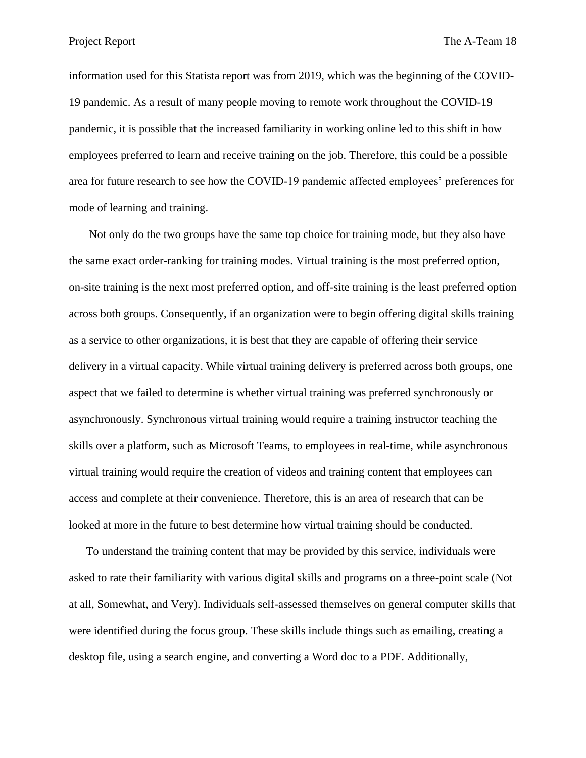information used for this Statista report was from 2019, which was the beginning of the COVID-19 pandemic. As a result of many people moving to remote work throughout the COVID-19 pandemic, it is possible that the increased familiarity in working online led to this shift in how employees preferred to learn and receive training on the job. Therefore, this could be a possible area for future research to see how the COVID-19 pandemic affected employees' preferences for mode of learning and training.

Not only do the two groups have the same top choice for training mode, but they also have the same exact order-ranking for training modes. Virtual training is the most preferred option, on-site training is the next most preferred option, and off-site training is the least preferred option across both groups. Consequently, if an organization were to begin offering digital skills training as a service to other organizations, it is best that they are capable of offering their service delivery in a virtual capacity. While virtual training delivery is preferred across both groups, one aspect that we failed to determine is whether virtual training was preferred synchronously or asynchronously. Synchronous virtual training would require a training instructor teaching the skills over a platform, such as Microsoft Teams, to employees in real-time, while asynchronous virtual training would require the creation of videos and training content that employees can access and complete at their convenience. Therefore, this is an area of research that can be looked at more in the future to best determine how virtual training should be conducted.

To understand the training content that may be provided by this service, individuals were asked to rate their familiarity with various digital skills and programs on a three-point scale (Not at all, Somewhat, and Very). Individuals self-assessed themselves on general computer skills that were identified during the focus group. These skills include things such as emailing, creating a desktop file, using a search engine, and converting a Word doc to a PDF. Additionally,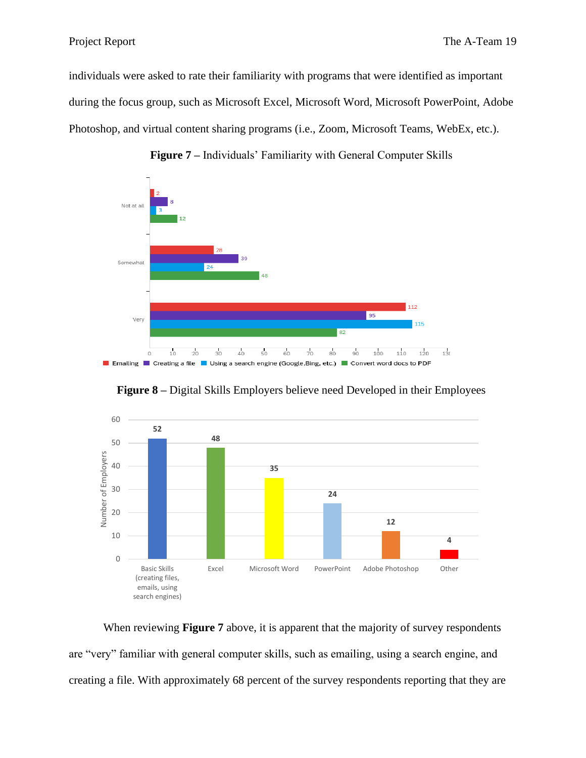individuals were asked to rate their familiarity with programs that were identified as important during the focus group, such as Microsoft Excel, Microsoft Word, Microsoft PowerPoint, Adobe Photoshop, and virtual content sharing programs (i.e., Zoom, Microsoft Teams, WebEx, etc.).







**Figure 8 –** Digital Skills Employers believe need Developed in their Employees

When reviewing **Figure 7** above, it is apparent that the majority of survey respondents are "very" familiar with general computer skills, such as emailing, using a search engine, and creating a file. With approximately 68 percent of the survey respondents reporting that they are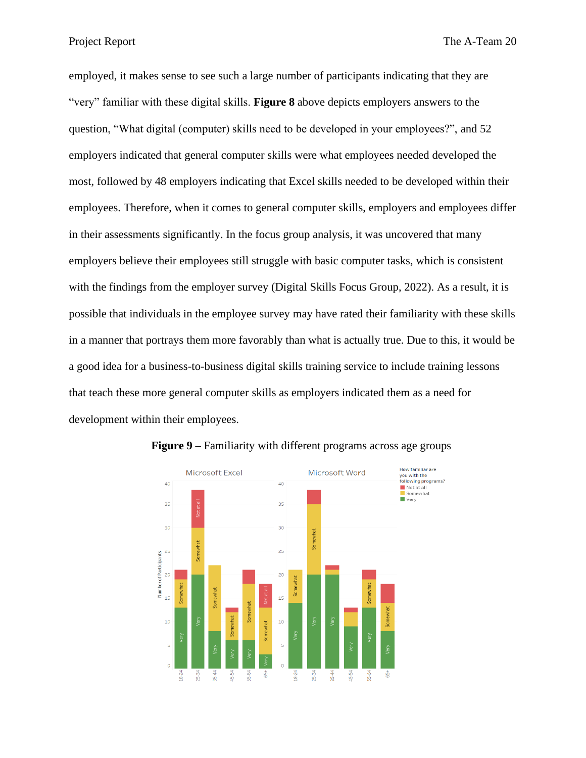Project Report The A-Team 20

employed, it makes sense to see such a large number of participants indicating that they are "very" familiar with these digital skills. **Figure 8** above depicts employers answers to the question, "What digital (computer) skills need to be developed in your employees?", and 52 employers indicated that general computer skills were what employees needed developed the most, followed by 48 employers indicating that Excel skills needed to be developed within their employees. Therefore, when it comes to general computer skills, employers and employees differ in their assessments significantly. In the focus group analysis, it was uncovered that many employers believe their employees still struggle with basic computer tasks, which is consistent with the findings from the employer survey (Digital Skills Focus Group, 2022). As a result, it is possible that individuals in the employee survey may have rated their familiarity with these skills in a manner that portrays them more favorably than what is actually true. Due to this, it would be a good idea for a business-to-business digital skills training service to include training lessons that teach these more general computer skills as employers indicated them as a need for development within their employees.



**Figure 9 –** Familiarity with different programs across age groups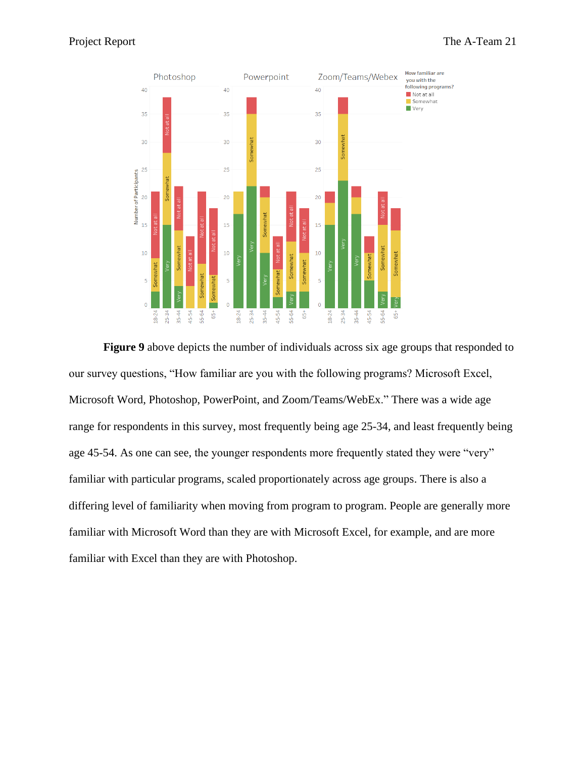

**Figure 9** above depicts the number of individuals across six age groups that responded to our survey questions, "How familiar are you with the following programs? Microsoft Excel, Microsoft Word, Photoshop, PowerPoint, and Zoom/Teams/WebEx." There was a wide age range for respondents in this survey, most frequently being age 25-34, and least frequently being age 45-54. As one can see, the younger respondents more frequently stated they were "very" familiar with particular programs, scaled proportionately across age groups. There is also a differing level of familiarity when moving from program to program. People are generally more familiar with Microsoft Word than they are with Microsoft Excel, for example, and are more familiar with Excel than they are with Photoshop.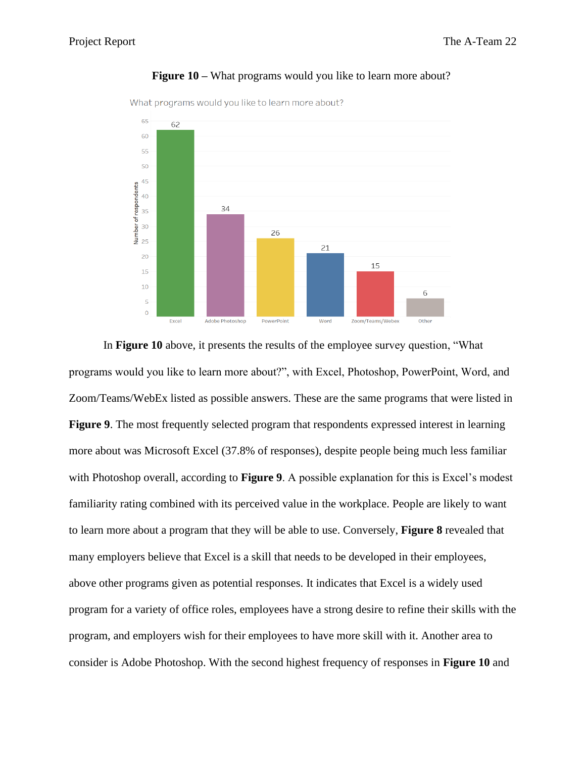

#### **Figure 10 –** What programs would you like to learn more about?

What programs would you like to learn more about?

In **Figure 10** above, it presents the results of the employee survey question, "What programs would you like to learn more about?", with Excel, Photoshop, PowerPoint, Word, and Zoom/Teams/WebEx listed as possible answers. These are the same programs that were listed in **Figure 9**. The most frequently selected program that respondents expressed interest in learning more about was Microsoft Excel (37.8% of responses), despite people being much less familiar with Photoshop overall, according to **Figure 9**. A possible explanation for this is Excel's modest familiarity rating combined with its perceived value in the workplace. People are likely to want to learn more about a program that they will be able to use. Conversely, **Figure 8** revealed that many employers believe that Excel is a skill that needs to be developed in their employees, above other programs given as potential responses. It indicates that Excel is a widely used program for a variety of office roles, employees have a strong desire to refine their skills with the program, and employers wish for their employees to have more skill with it. Another area to consider is Adobe Photoshop. With the second highest frequency of responses in **Figure 10** and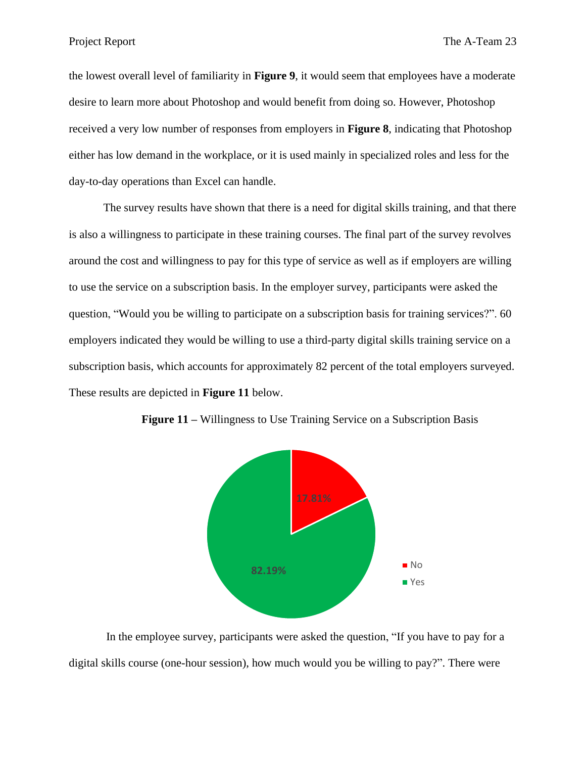the lowest overall level of familiarity in **Figure 9**, it would seem that employees have a moderate desire to learn more about Photoshop and would benefit from doing so. However, Photoshop received a very low number of responses from employers in **Figure 8**, indicating that Photoshop either has low demand in the workplace, or it is used mainly in specialized roles and less for the day-to-day operations than Excel can handle.

The survey results have shown that there is a need for digital skills training, and that there is also a willingness to participate in these training courses. The final part of the survey revolves around the cost and willingness to pay for this type of service as well as if employers are willing to use the service on a subscription basis. In the employer survey, participants were asked the question, "Would you be willing to participate on a subscription basis for training services?". 60 employers indicated they would be willing to use a third-party digital skills training service on a subscription basis, which accounts for approximately 82 percent of the total employers surveyed. These results are depicted in **Figure 11** below.



**Figure 11 –** Willingness to Use Training Service on a Subscription Basis

In the employee survey, participants were asked the question, "If you have to pay for a digital skills course (one-hour session), how much would you be willing to pay?". There were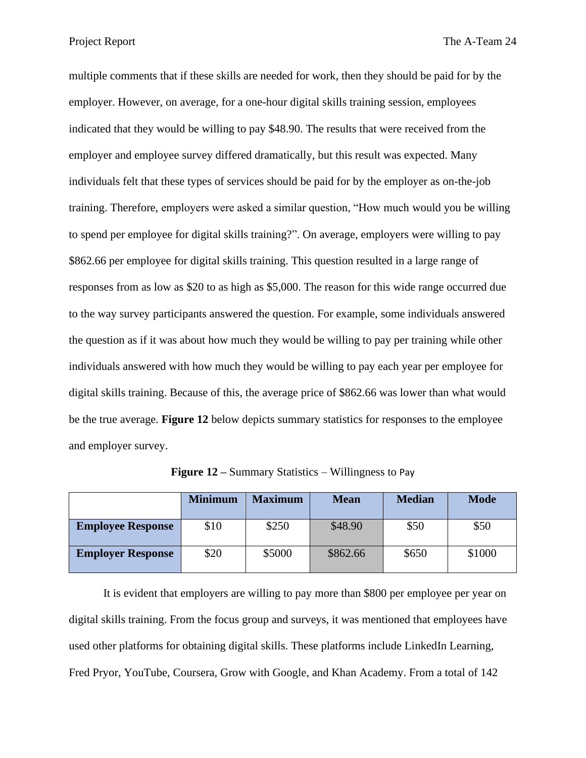multiple comments that if these skills are needed for work, then they should be paid for by the employer. However, on average, for a one-hour digital skills training session, employees indicated that they would be willing to pay \$48.90. The results that were received from the employer and employee survey differed dramatically, but this result was expected. Many individuals felt that these types of services should be paid for by the employer as on-the-job training. Therefore, employers were asked a similar question, "How much would you be willing to spend per employee for digital skills training?". On average, employers were willing to pay \$862.66 per employee for digital skills training. This question resulted in a large range of responses from as low as \$20 to as high as \$5,000. The reason for this wide range occurred due to the way survey participants answered the question. For example, some individuals answered the question as if it was about how much they would be willing to pay per training while other individuals answered with how much they would be willing to pay each year per employee for digital skills training. Because of this, the average price of \$862.66 was lower than what would be the true average. **Figure 12** below depicts summary statistics for responses to the employee and employer survey.

|                          | <b>Minimum</b> | <b>Maximum</b> | <b>Mean</b> | <b>Median</b> | <b>Mode</b> |
|--------------------------|----------------|----------------|-------------|---------------|-------------|
| <b>Employee Response</b> | \$10           | \$250          | \$48.90     | \$50          | \$50        |
| <b>Employer Response</b> | \$20           | \$5000         | \$862.66    | \$650         | \$1000      |

**Figure 12 –** Summary Statistics – Willingness to Pay

It is evident that employers are willing to pay more than \$800 per employee per year on digital skills training. From the focus group and surveys, it was mentioned that employees have used other platforms for obtaining digital skills. These platforms include LinkedIn Learning, Fred Pryor, YouTube, Coursera, Grow with Google, and Khan Academy. From a total of 142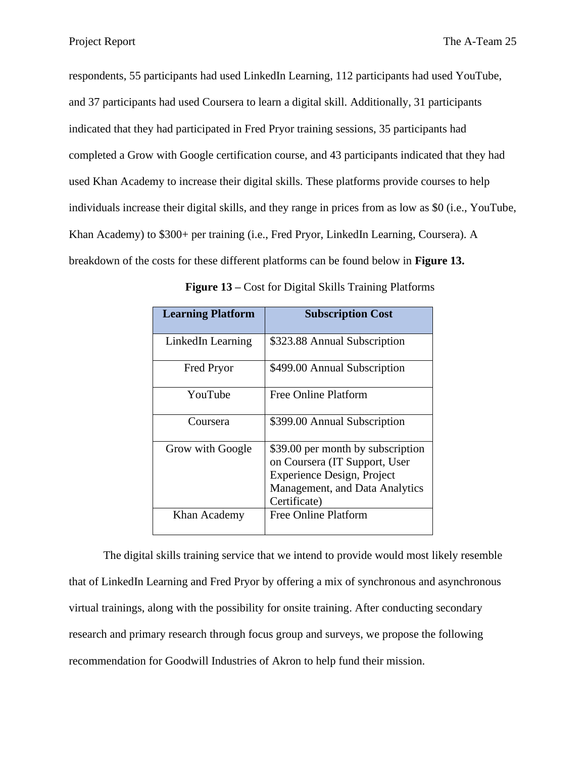respondents, 55 participants had used LinkedIn Learning, 112 participants had used YouTube, and 37 participants had used Coursera to learn a digital skill. Additionally, 31 participants indicated that they had participated in Fred Pryor training sessions, 35 participants had completed a Grow with Google certification course, and 43 participants indicated that they had used Khan Academy to increase their digital skills. These platforms provide courses to help individuals increase their digital skills, and they range in prices from as low as \$0 (i.e., YouTube, Khan Academy) to \$300+ per training (i.e., Fred Pryor, LinkedIn Learning, Coursera). A breakdown of the costs for these different platforms can be found below in **Figure 13.**

| <b>Learning Platform</b> | <b>Subscription Cost</b>                                                                                                                                  |
|--------------------------|-----------------------------------------------------------------------------------------------------------------------------------------------------------|
| LinkedIn Learning        | \$323.88 Annual Subscription                                                                                                                              |
| <b>Fred Pryor</b>        | \$499.00 Annual Subscription                                                                                                                              |
| YouTube                  | Free Online Platform                                                                                                                                      |
| Coursera                 | \$399.00 Annual Subscription                                                                                                                              |
| Grow with Google         | \$39.00 per month by subscription<br>on Coursera (IT Support, User<br><b>Experience Design, Project</b><br>Management, and Data Analytics<br>Certificate) |
| Khan Academy             | <b>Free Online Platform</b>                                                                                                                               |

**Figure 13 –** Cost for Digital Skills Training Platforms

The digital skills training service that we intend to provide would most likely resemble that of LinkedIn Learning and Fred Pryor by offering a mix of synchronous and asynchronous virtual trainings, along with the possibility for onsite training. After conducting secondary research and primary research through focus group and surveys, we propose the following recommendation for Goodwill Industries of Akron to help fund their mission.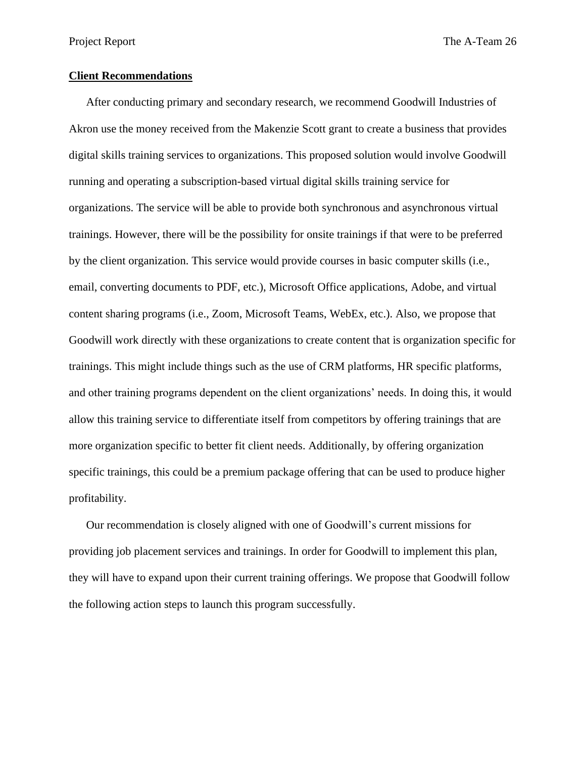Project Report The A-Team 26

#### **Client Recommendations**

After conducting primary and secondary research, we recommend Goodwill Industries of Akron use the money received from the Makenzie Scott grant to create a business that provides digital skills training services to organizations. This proposed solution would involve Goodwill running and operating a subscription-based virtual digital skills training service for organizations. The service will be able to provide both synchronous and asynchronous virtual trainings. However, there will be the possibility for onsite trainings if that were to be preferred by the client organization. This service would provide courses in basic computer skills (i.e., email, converting documents to PDF, etc.), Microsoft Office applications, Adobe, and virtual content sharing programs (i.e., Zoom, Microsoft Teams, WebEx, etc.). Also, we propose that Goodwill work directly with these organizations to create content that is organization specific for trainings. This might include things such as the use of CRM platforms, HR specific platforms, and other training programs dependent on the client organizations' needs. In doing this, it would allow this training service to differentiate itself from competitors by offering trainings that are more organization specific to better fit client needs. Additionally, by offering organization specific trainings, this could be a premium package offering that can be used to produce higher profitability.

Our recommendation is closely aligned with one of Goodwill's current missions for providing job placement services and trainings. In order for Goodwill to implement this plan, they will have to expand upon their current training offerings. We propose that Goodwill follow the following action steps to launch this program successfully.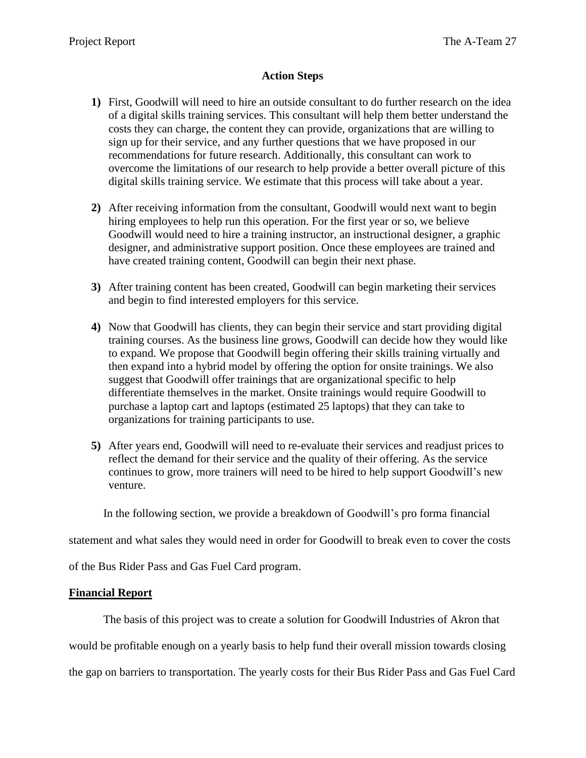## **Action Steps**

- **1)** First, Goodwill will need to hire an outside consultant to do further research on the idea of a digital skills training services. This consultant will help them better understand the costs they can charge, the content they can provide, organizations that are willing to sign up for their service, and any further questions that we have proposed in our recommendations for future research. Additionally, this consultant can work to overcome the limitations of our research to help provide a better overall picture of this digital skills training service. We estimate that this process will take about a year.
- **2)** After receiving information from the consultant, Goodwill would next want to begin hiring employees to help run this operation. For the first year or so, we believe Goodwill would need to hire a training instructor, an instructional designer, a graphic designer, and administrative support position. Once these employees are trained and have created training content, Goodwill can begin their next phase.
- **3)** After training content has been created, Goodwill can begin marketing their services and begin to find interested employers for this service.
- **4)** Now that Goodwill has clients, they can begin their service and start providing digital training courses. As the business line grows, Goodwill can decide how they would like to expand. We propose that Goodwill begin offering their skills training virtually and then expand into a hybrid model by offering the option for onsite trainings. We also suggest that Goodwill offer trainings that are organizational specific to help differentiate themselves in the market. Onsite trainings would require Goodwill to purchase a laptop cart and laptops (estimated 25 laptops) that they can take to organizations for training participants to use.
- **5)** After years end, Goodwill will need to re-evaluate their services and readjust prices to reflect the demand for their service and the quality of their offering. As the service continues to grow, more trainers will need to be hired to help support Goodwill's new venture.

In the following section, we provide a breakdown of Goodwill's pro forma financial

statement and what sales they would need in order for Goodwill to break even to cover the costs

of the Bus Rider Pass and Gas Fuel Card program.

### **Financial Report**

The basis of this project was to create a solution for Goodwill Industries of Akron that

would be profitable enough on a yearly basis to help fund their overall mission towards closing

the gap on barriers to transportation. The yearly costs for their Bus Rider Pass and Gas Fuel Card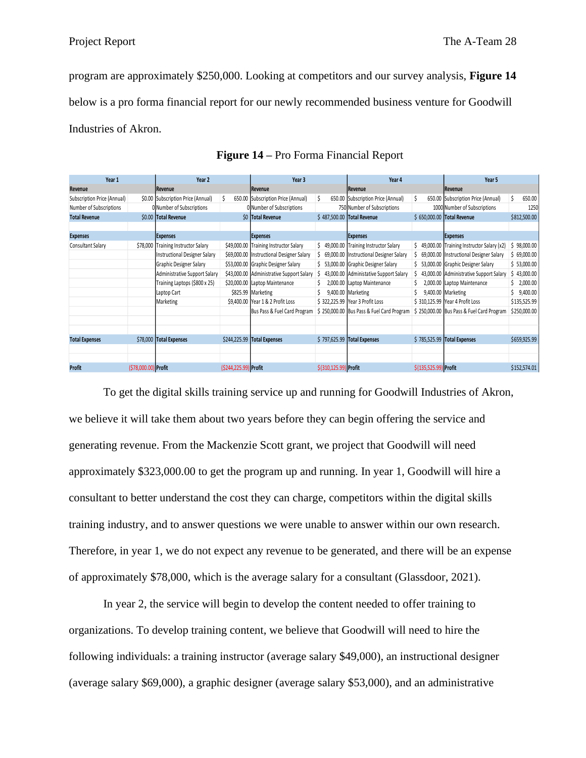program are approximately \$250,000. Looking at competitors and our survey analysis, **Figure 14**  below is a pro forma financial report for our newly recommended business venture for Goodwill Industries of Akron.

| Year 1                      |                      | Year 2                              |                       | Year 3                                    |    |                       | Year 4                                    |                       | Year 5                                      |    |              |
|-----------------------------|----------------------|-------------------------------------|-----------------------|-------------------------------------------|----|-----------------------|-------------------------------------------|-----------------------|---------------------------------------------|----|--------------|
| Revenue                     |                      | Revenue                             |                       | Revenue                                   |    |                       | Revenue                                   |                       | Revenue                                     |    |              |
| Subscription Price (Annual) |                      | \$0.00 Subscription Price (Annual)  |                       | 650.00 Subscription Price (Annual)        |    |                       | 650.00 Subscription Price (Annual)        |                       | 650.00 Subscription Price (Annual)          | Ś. | 650.00       |
| Number of Subscriptions     |                      | 0 Number of Subscriptions           |                       | 0 Number of Subscriptions                 |    |                       | 750 Number of Subscriptions               |                       | 1000 Number of Subscriptions                |    | 1250         |
| <b>Total Revenue</b>        |                      | \$0.00 Total Revenue                |                       | \$0 Total Revenue                         |    |                       | \$487,500.00 Total Revenue                |                       | \$ 650,000.00 Total Revenue                 |    | \$812,500.00 |
|                             |                      |                                     |                       |                                           |    |                       |                                           |                       |                                             |    |              |
| <b>Expenses</b>             |                      | <b>Expenses</b>                     |                       | <b>Expenses</b>                           |    |                       | <b>Expenses</b>                           |                       | <b>Expenses</b>                             |    |              |
| Consultant Salary           |                      | \$78,000 Training Instructor Salary |                       | \$49,000.00 Training Instructor Salary    | Ś. |                       | 49,000.00 Training Instructor Salary      |                       | \$49,000.00 Training Instructor Salary (x2) | \$ | 98,000.00    |
|                             |                      | Instructional Designer Salary       |                       | \$69,000.00 Instructional Designer Salary |    |                       | 69,000.00 Instructional Designer Salary   |                       | \$ 69,000.00 Instructional Designer Salary  |    | \$69,000.00  |
|                             |                      | Graphic Designer Salary             |                       | \$53,000.00 Graphic Designer Salary       |    |                       | \$ 53,000.00 Graphic Designer Salary      |                       | \$53,000.00 Graphic Designer Salary         |    | \$53,000.00  |
|                             |                      | Administrative Support Salary       |                       | \$43,000.00 Administrative Support Salary |    |                       | 43,000.00 Administative Support Salary    |                       | 43,000.00 Administrative Support Salary     |    | 43,000.00    |
|                             |                      | Training Laptops (\$800 x 25)       |                       | \$20,000.00 Laptop Maintenance            |    |                       | 2,000.00 Laptop Maintenance               |                       | 2,000.00 Laptop Maintenance                 | Ś. | 2,000.00     |
|                             |                      | Laptop Cart                         |                       | \$825.99 Marketing                        |    |                       | 9,400.00 Marketing                        |                       | 9,400.00 Marketing                          | S. | 9,400.00     |
|                             |                      | Marketing                           |                       | \$9,400.00 Year 1 & 2 Profit Loss         |    |                       | \$322,225.99 Year 3 Profit Loss           |                       | \$310,125.99 Year 4 Profit Loss             |    | \$135,525.99 |
|                             |                      |                                     |                       | Bus Pass & Fuel Card Program              |    |                       | \$250,000.00 Bus Pass & Fuel Card Program |                       | \$250,000.00 Bus Pass & Fuel Card Program   |    | \$250,000.00 |
|                             |                      |                                     |                       |                                           |    |                       |                                           |                       |                                             |    |              |
|                             |                      |                                     |                       |                                           |    |                       |                                           |                       |                                             |    |              |
| <b>Total Expenses</b>       |                      | \$78,000 Total Expenses             |                       | \$244,225.99 Total Expenses               |    |                       | \$797,625.99 Total Expenses               |                       | \$785,525.99 Total Expenses                 |    | \$659,925.99 |
|                             |                      |                                     |                       |                                           |    |                       |                                           |                       |                                             |    |              |
|                             |                      |                                     |                       |                                           |    |                       |                                           |                       |                                             |    |              |
| <b>Profit</b>               | (\$78,000.00) Profit |                                     | (\$244,225.99) Profit |                                           |    | \$(310,125.99) Profit |                                           | \$(135,525.99) Profit |                                             |    | \$152,574.01 |

To get the digital skills training service up and running for Goodwill Industries of Akron, we believe it will take them about two years before they can begin offering the service and generating revenue. From the Mackenzie Scott grant, we project that Goodwill will need approximately \$323,000.00 to get the program up and running. In year 1, Goodwill will hire a consultant to better understand the cost they can charge, competitors within the digital skills training industry, and to answer questions we were unable to answer within our own research. Therefore, in year 1, we do not expect any revenue to be generated, and there will be an expense of approximately \$78,000, which is the average salary for a consultant (Glassdoor, 2021).

In year 2, the service will begin to develop the content needed to offer training to organizations. To develop training content, we believe that Goodwill will need to hire the following individuals: a training instructor (average salary \$49,000), an instructional designer (average salary \$69,000), a graphic designer (average salary \$53,000), and an administrative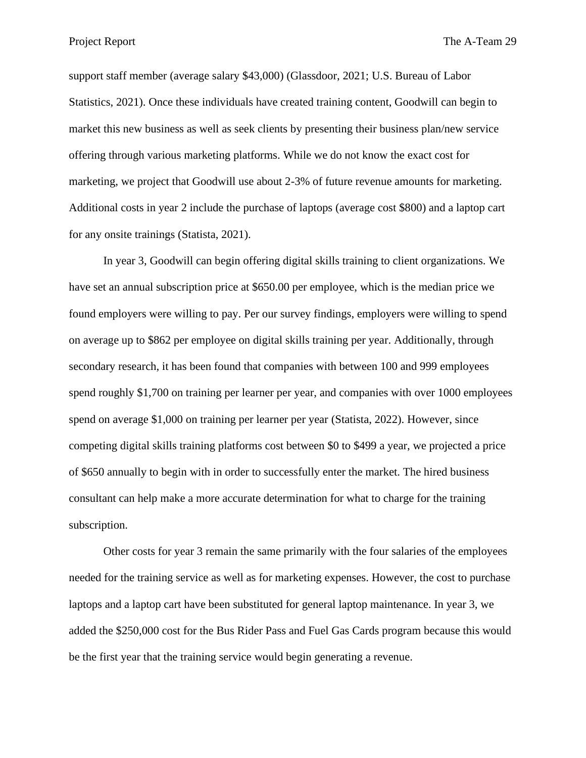Project Report The A-Team 29

support staff member (average salary \$43,000) (Glassdoor, 2021; U.S. Bureau of Labor Statistics, 2021). Once these individuals have created training content, Goodwill can begin to market this new business as well as seek clients by presenting their business plan/new service offering through various marketing platforms. While we do not know the exact cost for marketing, we project that Goodwill use about 2-3% of future revenue amounts for marketing. Additional costs in year 2 include the purchase of laptops (average cost \$800) and a laptop cart for any onsite trainings (Statista, 2021).

In year 3, Goodwill can begin offering digital skills training to client organizations. We have set an annual subscription price at \$650.00 per employee, which is the median price we found employers were willing to pay. Per our survey findings, employers were willing to spend on average up to \$862 per employee on digital skills training per year. Additionally, through secondary research, it has been found that companies with between 100 and 999 employees spend roughly \$1,700 on training per learner per year, and companies with over 1000 employees spend on average \$1,000 on training per learner per year (Statista, 2022). However, since competing digital skills training platforms cost between \$0 to \$499 a year, we projected a price of \$650 annually to begin with in order to successfully enter the market. The hired business consultant can help make a more accurate determination for what to charge for the training subscription.

Other costs for year 3 remain the same primarily with the four salaries of the employees needed for the training service as well as for marketing expenses. However, the cost to purchase laptops and a laptop cart have been substituted for general laptop maintenance. In year 3, we added the \$250,000 cost for the Bus Rider Pass and Fuel Gas Cards program because this would be the first year that the training service would begin generating a revenue.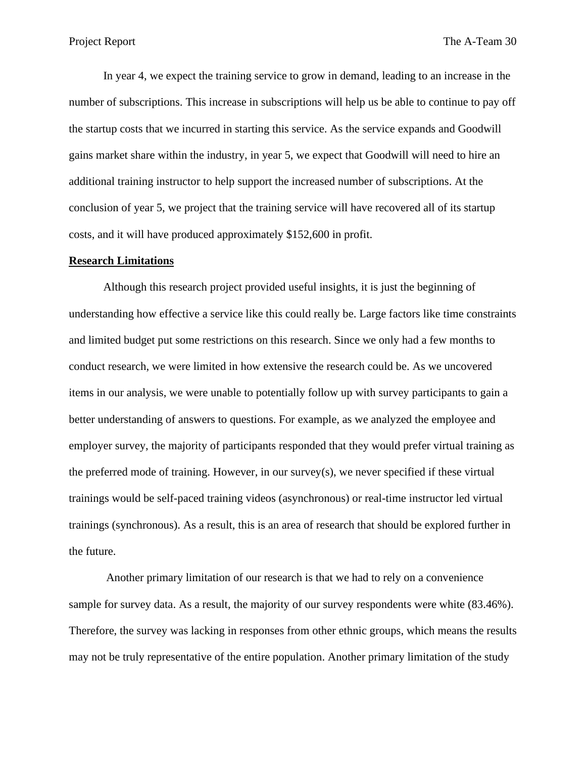In year 4, we expect the training service to grow in demand, leading to an increase in the number of subscriptions. This increase in subscriptions will help us be able to continue to pay off the startup costs that we incurred in starting this service. As the service expands and Goodwill gains market share within the industry, in year 5, we expect that Goodwill will need to hire an additional training instructor to help support the increased number of subscriptions. At the conclusion of year 5, we project that the training service will have recovered all of its startup costs, and it will have produced approximately \$152,600 in profit.

#### **Research Limitations**

Although this research project provided useful insights, it is just the beginning of understanding how effective a service like this could really be. Large factors like time constraints and limited budget put some restrictions on this research. Since we only had a few months to conduct research, we were limited in how extensive the research could be. As we uncovered items in our analysis, we were unable to potentially follow up with survey participants to gain a better understanding of answers to questions. For example, as we analyzed the employee and employer survey, the majority of participants responded that they would prefer virtual training as the preferred mode of training. However, in our survey(s), we never specified if these virtual trainings would be self-paced training videos (asynchronous) or real-time instructor led virtual trainings (synchronous). As a result, this is an area of research that should be explored further in the future.

Another primary limitation of our research is that we had to rely on a convenience sample for survey data. As a result, the majority of our survey respondents were white (83.46%). Therefore, the survey was lacking in responses from other ethnic groups, which means the results may not be truly representative of the entire population. Another primary limitation of the study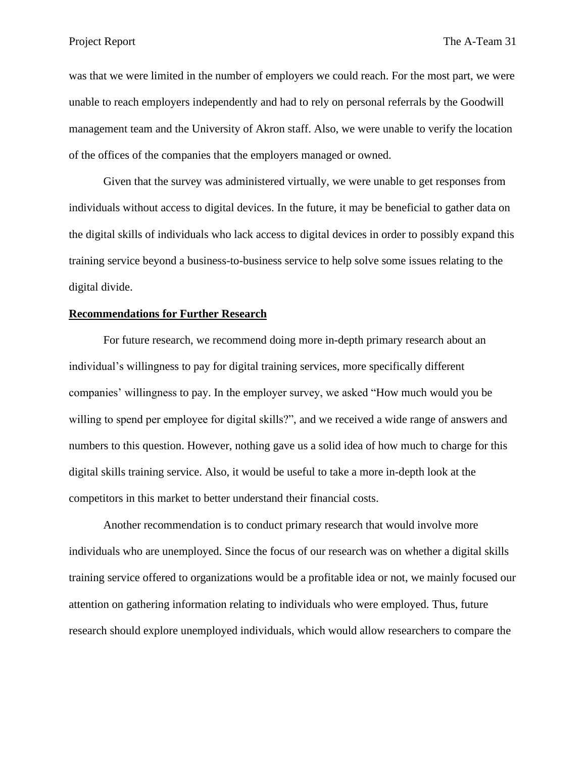was that we were limited in the number of employers we could reach. For the most part, we were unable to reach employers independently and had to rely on personal referrals by the Goodwill management team and the University of Akron staff. Also, we were unable to verify the location of the offices of the companies that the employers managed or owned.

Given that the survey was administered virtually, we were unable to get responses from individuals without access to digital devices. In the future, it may be beneficial to gather data on the digital skills of individuals who lack access to digital devices in order to possibly expand this training service beyond a business-to-business service to help solve some issues relating to the digital divide.

#### **Recommendations for Further Research**

For future research, we recommend doing more in-depth primary research about an individual's willingness to pay for digital training services, more specifically different companies' willingness to pay. In the employer survey, we asked "How much would you be willing to spend per employee for digital skills?", and we received a wide range of answers and numbers to this question. However, nothing gave us a solid idea of how much to charge for this digital skills training service. Also, it would be useful to take a more in-depth look at the competitors in this market to better understand their financial costs.

Another recommendation is to conduct primary research that would involve more individuals who are unemployed. Since the focus of our research was on whether a digital skills training service offered to organizations would be a profitable idea or not, we mainly focused our attention on gathering information relating to individuals who were employed. Thus, future research should explore unemployed individuals, which would allow researchers to compare the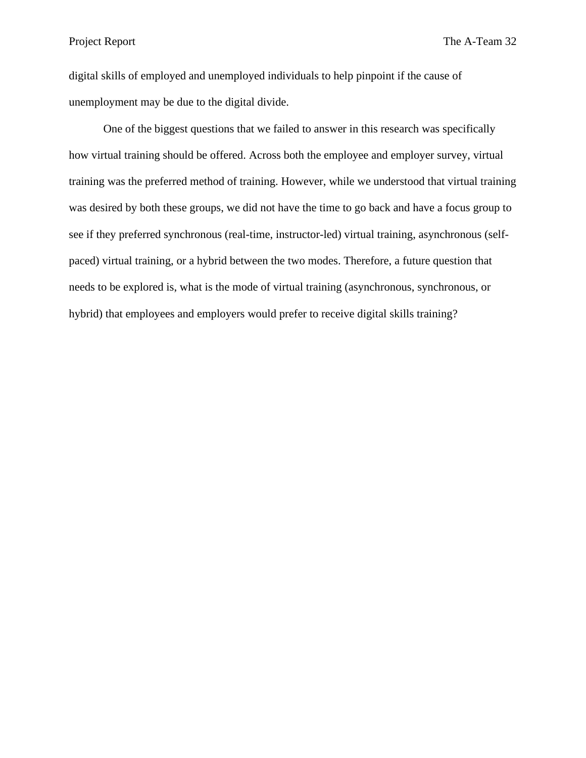digital skills of employed and unemployed individuals to help pinpoint if the cause of unemployment may be due to the digital divide.

One of the biggest questions that we failed to answer in this research was specifically how virtual training should be offered. Across both the employee and employer survey, virtual training was the preferred method of training. However, while we understood that virtual training was desired by both these groups, we did not have the time to go back and have a focus group to see if they preferred synchronous (real-time, instructor-led) virtual training, asynchronous (selfpaced) virtual training, or a hybrid between the two modes. Therefore, a future question that needs to be explored is, what is the mode of virtual training (asynchronous, synchronous, or hybrid) that employees and employers would prefer to receive digital skills training?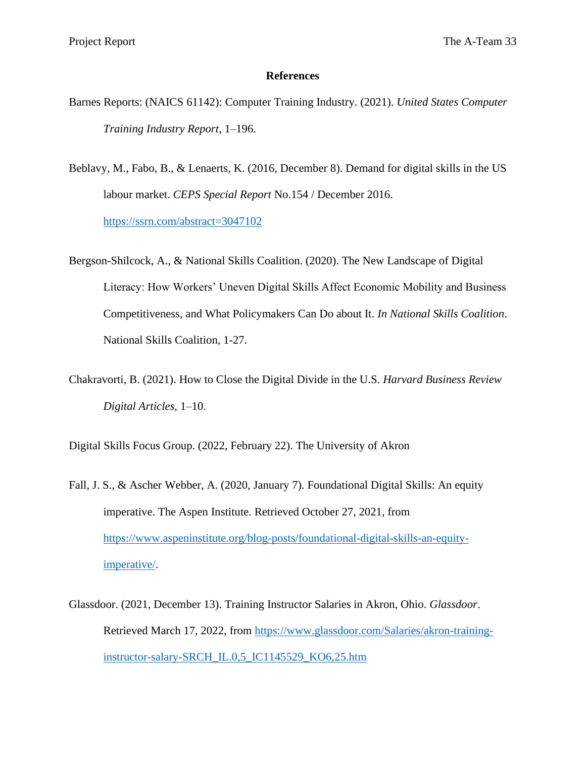#### **References**

- Barnes Reports: (NAICS 61142): Computer Training Industry. (2021). *United States Computer Training Industry Report*, 1–196.
- Beblavy, M., Fabo, B., & Lenaerts, K. (2016, December 8). Demand for digital skills in the US labour market. *CEPS Special Report* No.154 / December 2016. <https://ssrn.com/abstract=3047102>
- Bergson-Shilcock, A., & National Skills Coalition. (2020). The New Landscape of Digital Literacy: How Workers' Uneven Digital Skills Affect Economic Mobility and Business Competitiveness, and What Policymakers Can Do about It. *In National Skills Coalition*. National Skills Coalition, 1-27.
- Chakravorti, B. (2021). How to Close the Digital Divide in the U.S*. Harvard Business Review Digital Articles*, 1–10.

Digital Skills Focus Group. (2022, February 22). The University of Akron

- Fall, J. S., & Ascher Webber, A. (2020, January 7). Foundational Digital Skills: An equity imperative. The Aspen Institute. Retrieved October 27, 2021, from [https://www.aspeninstitute.org/blog-posts/foundational-digital-skills-an-equity](https://www.aspeninstitute.org/blog-posts/foundational-digital-skills-an-equity-imperative/)[imperative/.](https://www.aspeninstitute.org/blog-posts/foundational-digital-skills-an-equity-imperative/)
- Glassdoor. (2021, December 13). Training Instructor Salaries in Akron, Ohio. *Glassdoor*. Retrieved March 17, 2022, from [https://www.glassdoor.com/Salaries/akron-training](https://www.glassdoor.com/Salaries/akron-training-instructor-salary-SRCH_IL.0,5_IC1145529_KO6,25.htm)[instructor-salary-SRCH\\_IL.0,5\\_IC1145529\\_KO6,25.htm](https://www.glassdoor.com/Salaries/akron-training-instructor-salary-SRCH_IL.0,5_IC1145529_KO6,25.htm)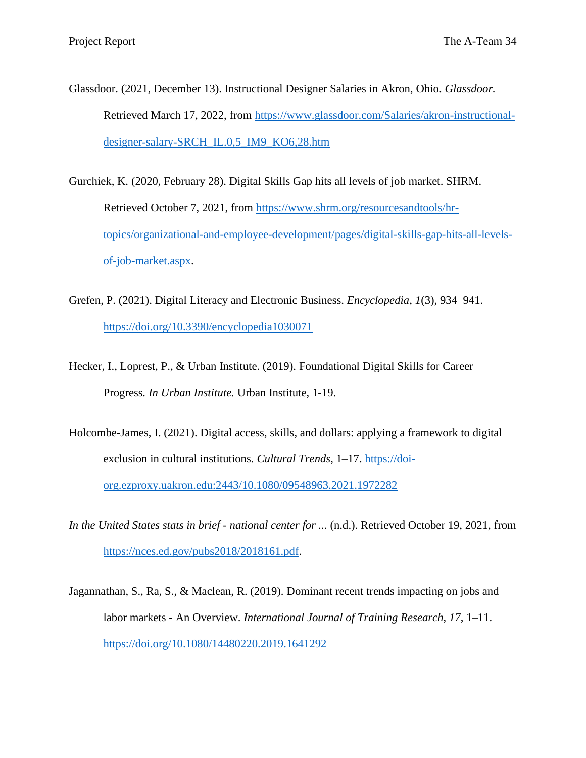- Glassdoor. (2021, December 13). Instructional Designer Salaries in Akron, Ohio. *Glassdoor.* Retrieved March 17, 2022, from [https://www.glassdoor.com/Salaries/akron-instructional](https://www.glassdoor.com/Salaries/akron-instructional-designer-salary-SRCH_IL.0,5_IM9_KO6,28.htm)[designer-salary-SRCH\\_IL.0,5\\_IM9\\_KO6,28.htm](https://www.glassdoor.com/Salaries/akron-instructional-designer-salary-SRCH_IL.0,5_IM9_KO6,28.htm)
- Gurchiek, K. (2020, February 28). Digital Skills Gap hits all levels of job market. SHRM. Retrieved October 7, 2021, from [https://www.shrm.org/resourcesandtools/hr](https://www.shrm.org/resourcesandtools/hr-topics/organizational-and-employee-development/pages/digital-skills-gap-hits-all-levels-of-job-market.aspx)[topics/organizational-and-employee-development/pages/digital-skills-gap-hits-all-levels](https://www.shrm.org/resourcesandtools/hr-topics/organizational-and-employee-development/pages/digital-skills-gap-hits-all-levels-of-job-market.aspx)[of-job-market.aspx.](https://www.shrm.org/resourcesandtools/hr-topics/organizational-and-employee-development/pages/digital-skills-gap-hits-all-levels-of-job-market.aspx)
- Grefen, P. (2021). Digital Literacy and Electronic Business. *Encyclopedia*, *1*(3), 934–941. <https://doi.org/10.3390/encyclopedia1030071>
- Hecker, I., Loprest, P., & Urban Institute. (2019). Foundational Digital Skills for Career Progress*. In Urban Institute.* Urban Institute, 1-19.
- Holcombe-James, I. (2021). Digital access, skills, and dollars: applying a framework to digital exclusion in cultural institutions. *Cultural Trends*, 1–17. [https://doi](https://doi-org.ezproxy.uakron.edu:2443/10.1080/09548963.2021.1972282)[org.ezproxy.uakron.edu:2443/10.1080/09548963.2021.1972282](https://doi-org.ezproxy.uakron.edu:2443/10.1080/09548963.2021.1972282)
- *In the United States stats in brief - national center for ...* (n.d.). Retrieved October 19, 2021, from [https://nces.ed.gov/pubs2018/2018161.pdf.](https://nces.ed.gov/pubs2018/2018161.pdf)
- Jagannathan, S., Ra, S., & Maclean, R. (2019). Dominant recent trends impacting on jobs and labor markets - An Overview. *International Journal of Training Research*, *17*, 1–11. <https://doi.org/10.1080/14480220.2019.1641292>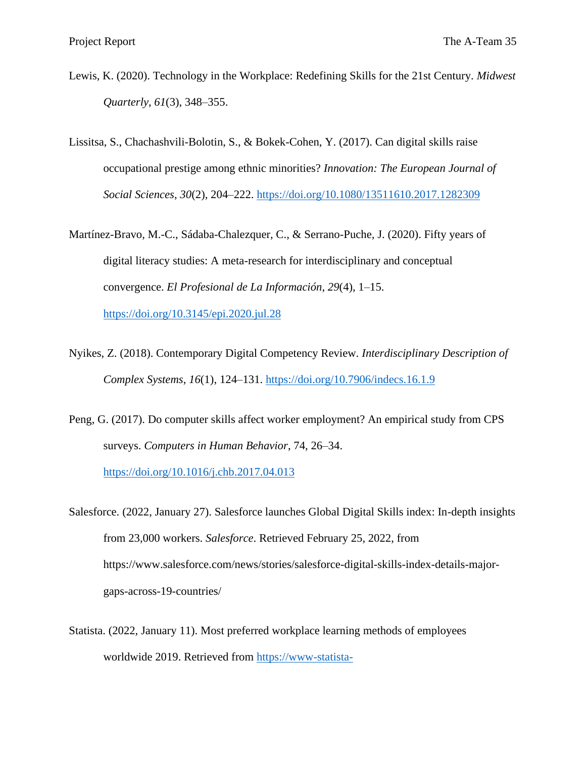- Lewis, K. (2020). Technology in the Workplace: Redefining Skills for the 21st Century. *Midwest Quarterly*, *61*(3), 348–355.
- Lissitsa, S., Chachashvili-Bolotin, S., & Bokek-Cohen, Y. (2017). Can digital skills raise occupational prestige among ethnic minorities? *Innovation: The European Journal of Social Sciences*, *30*(2), 204–222.<https://doi.org/10.1080/13511610.2017.1282309>
- Martínez-Bravo, M.-C., Sádaba-Chalezquer, C., & Serrano-Puche, J. (2020). Fifty years of digital literacy studies: A meta-research for interdisciplinary and conceptual convergence. *El Profesional de La Información*, *29*(4), 1–15.

<https://doi.org/10.3145/epi.2020.jul.28>

- Nyikes, Z. (2018). Contemporary Digital Competency Review. *Interdisciplinary Description of Complex Systems*, *16*(1), 124–131.<https://doi.org/10.7906/indecs.16.1.9>
- Peng, G. (2017). Do computer skills affect worker employment? An empirical study from CPS surveys. *Computers in Human Behavior*, 74, 26–34.

<https://doi.org/10.1016/j.chb.2017.04.013>

- Salesforce. (2022, January 27). Salesforce launches Global Digital Skills index: In-depth insights from 23,000 workers. *Salesforce*. Retrieved February 25, 2022, from https://www.salesforce.com/news/stories/salesforce-digital-skills-index-details-majorgaps-across-19-countries/
- Statista. (2022, January 11). Most preferred workplace learning methods of employees worldwide 2019. Retrieved from [https://www-statista-](https://www-statista-com.ezproxy.uakron.edu:2443/statistics/885820/most-preferred-learning-methods-of-employees-worldwide/)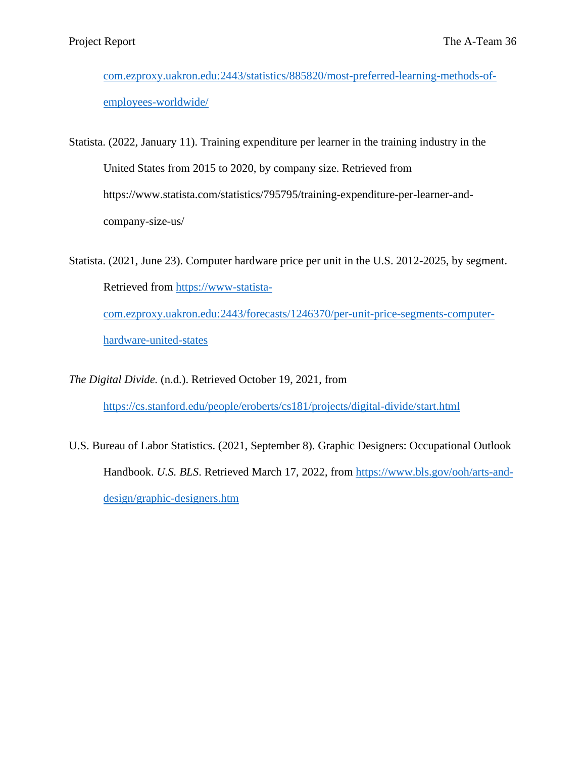[com.ezproxy.uakron.edu:2443/statistics/885820/most-preferred-learning-methods-of](https://www-statista-com.ezproxy.uakron.edu:2443/statistics/885820/most-preferred-learning-methods-of-employees-worldwide/)[employees-worldwide/](https://www-statista-com.ezproxy.uakron.edu:2443/statistics/885820/most-preferred-learning-methods-of-employees-worldwide/)

Statista. (2022, January 11). Training expenditure per learner in the training industry in the United States from 2015 to 2020, by company size. Retrieved from https://www.statista.com/statistics/795795/training-expenditure-per-learner-andcompany-size-us/

Statista. (2021, June 23). Computer hardware price per unit in the U.S. 2012-2025, by segment. Retrieved from [https://www-statista](https://www-statista-com.ezproxy.uakron.edu:2443/forecasts/1246370/per-unit-price-segments-computer-hardware-united-states)[com.ezproxy.uakron.edu:2443/forecasts/1246370/per-unit-price-segments-computer](https://www-statista-com.ezproxy.uakron.edu:2443/forecasts/1246370/per-unit-price-segments-computer-hardware-united-states)[hardware-united-states](https://www-statista-com.ezproxy.uakron.edu:2443/forecasts/1246370/per-unit-price-segments-computer-hardware-united-states)

*The Digital Divide.* (n.d.). Retrieved October 19, 2021, from

<https://cs.stanford.edu/people/eroberts/cs181/projects/digital-divide/start.html>

U.S. Bureau of Labor Statistics. (2021, September 8). Graphic Designers: Occupational Outlook Handbook. *U.S. BLS.* Retrieved March 17, 2022, from [https://www.bls.gov/ooh/arts-and](https://www.bls.gov/ooh/arts-and-design/graphic-designers.htm)[design/graphic-designers.htm](https://www.bls.gov/ooh/arts-and-design/graphic-designers.htm)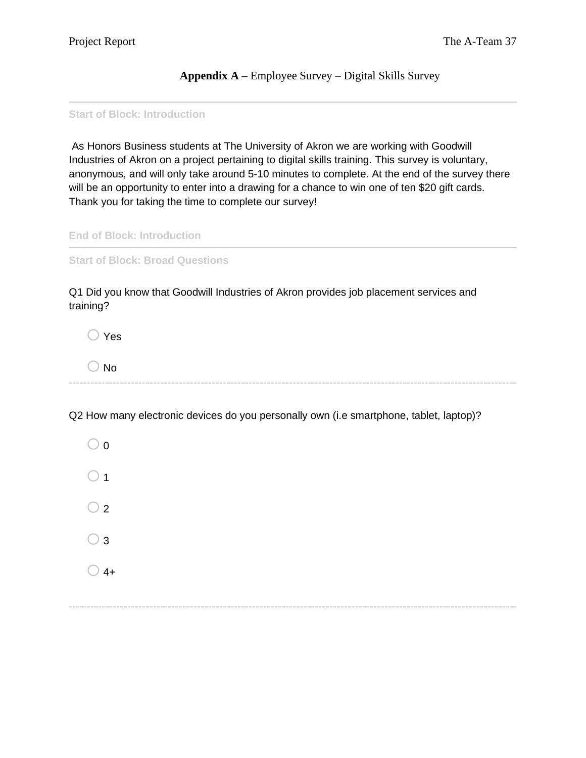**Appendix A –** Employee Survey – Digital Skills Survey

**Start of Block: Introduction**

As Honors Business students at The University of Akron we are working with Goodwill Industries of Akron on a project pertaining to digital skills training. This survey is voluntary, anonymous, and will only take around 5-10 minutes to complete. At the end of the survey there will be an opportunity to enter into a drawing for a chance to win one of ten \$20 gift cards. Thank you for taking the time to complete our survey!

**End of Block: Introduction**

**Start of Block: Broad Questions**

Q1 Did you know that Goodwill Industries of Akron provides job placement services and training?

 $\bigcirc$  Yes

 $\bigcirc$  No

Q2 How many electronic devices do you personally own (i.e smartphone, tablet, laptop)?

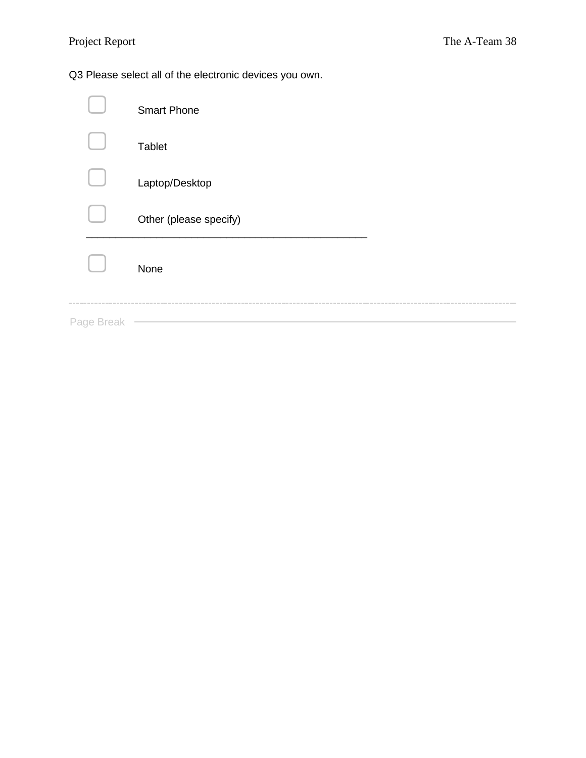Q3 Please select all of the electronic devices you own.

|            | <b>Smart Phone</b>     |
|------------|------------------------|
|            | <b>Tablet</b>          |
|            | Laptop/Desktop         |
|            | Other (please specify) |
|            | None                   |
| Page Break |                        |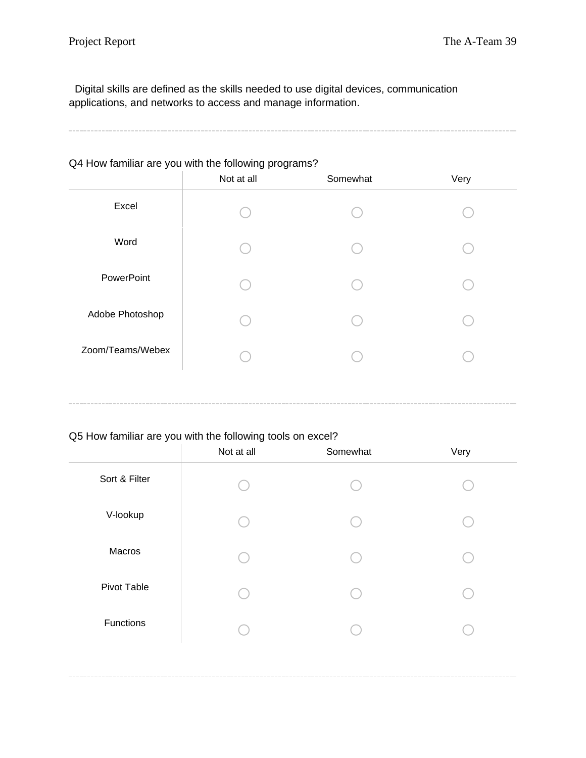Digital skills are defined as the skills needed to use digital devices, communication applications, and networks to access and manage information.

# Q4 How familiar are you with the following programs?

|                  | Not at all | Somewhat | Very |
|------------------|------------|----------|------|
| Excel            |            |          |      |
| Word             |            |          |      |
| PowerPoint       |            |          |      |
| Adobe Photoshop  |            |          |      |
| Zoom/Teams/Webex |            |          |      |

# Q5 How familiar are you with the following tools on excel?

|               | Not at all | Somewhat | Very |
|---------------|------------|----------|------|
| Sort & Filter |            |          |      |
| V-lookup      |            |          |      |
| Macros        |            |          |      |
| Pivot Table   |            |          |      |
| Functions     |            |          |      |
|               |            |          |      |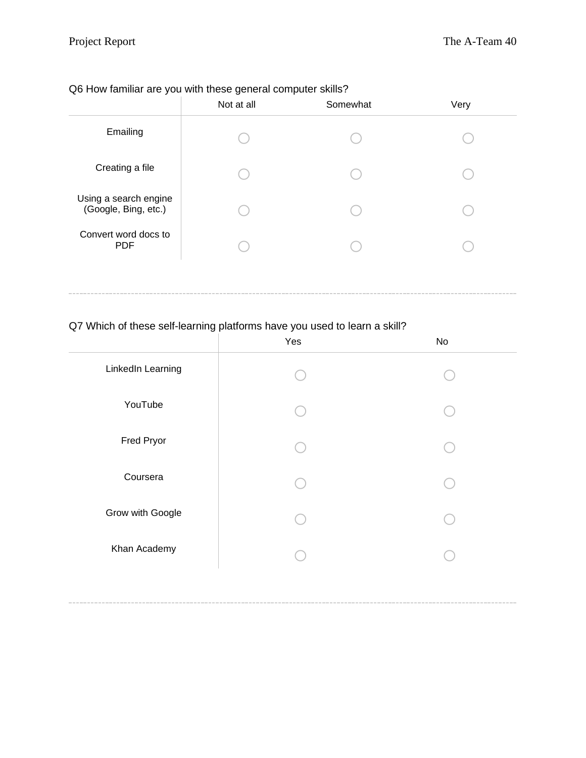# Q6 How familiar are you with these general computer skills?

|                                               | Not at all | Somewhat | Very |
|-----------------------------------------------|------------|----------|------|
| Emailing                                      |            |          |      |
| Creating a file                               |            |          |      |
| Using a search engine<br>(Google, Bing, etc.) |            |          |      |
| Convert word docs to<br><b>PDF</b>            |            |          |      |

# Q7 Which of these self-learning platforms have you used to learn a skill?

|                   | Yes | No |
|-------------------|-----|----|
| LinkedIn Learning |     |    |
| YouTube           |     |    |
| Fred Pryor        |     |    |
| Coursera          |     |    |
| Grow with Google  |     |    |
| Khan Academy      |     |    |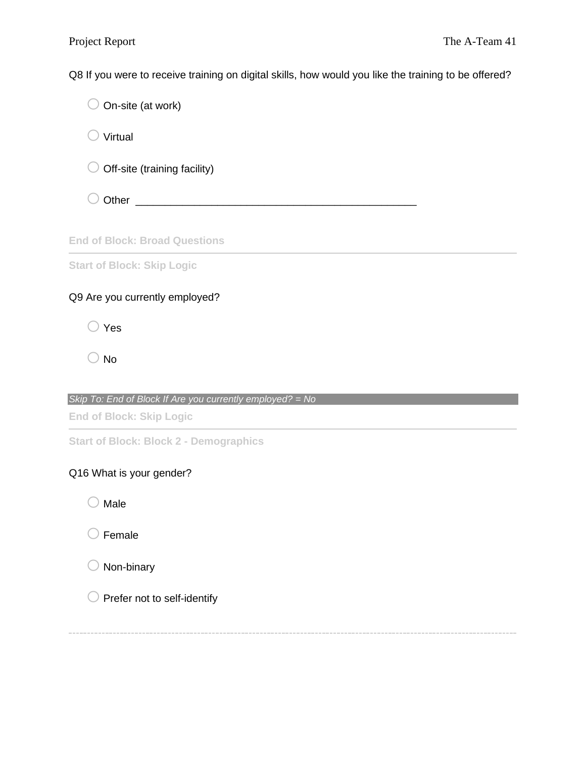Q8 If you were to receive training on digital skills, how would you like the training to be offered?

 $\bigcirc$  On-site (at work)

 $\bigcirc$  Virtual

 $\bigcirc$  Off-site (training facility)

 $\bigcirc$  Other  $\bigcirc$ 

### **End of Block: Broad Questions**

**Start of Block: Skip Logic**

# Q9 Are you currently employed?

 $\bigcirc$  Yes

 $\bigcirc$  No

# *Skip To: End of Block If Are you currently employed? = No*

**End of Block: Skip Logic**

**Start of Block: Block 2 - Demographics**

# Q16 What is your gender?

 $\bigcirc$  Male

 $\bigcirc$  Female



 $\bigcirc$  Prefer not to self-identify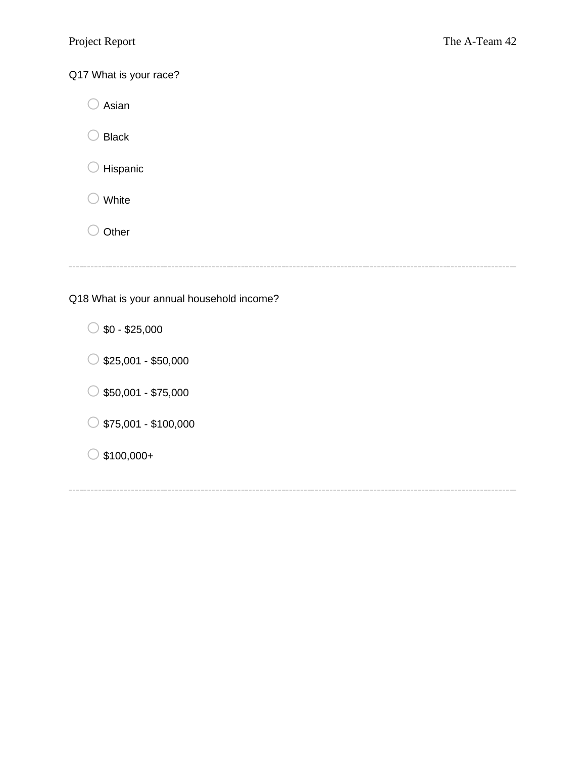Q17 What is your race?

 $\bigcirc$  Asian

 $\bigcirc$  Black

 $\bigcirc$  Hispanic

 $\bigcirc$  White

 $\bigcirc$  Other

Q18 What is your annual household income?

 $\circ$  \$0 - \$25,000

 $\circ$  \$25,001 - \$50,000

 $\circ$  \$50,001 - \$75,000

 $\circ$  \$75,001 - \$100,000

 $\bigcirc$  \$100,000+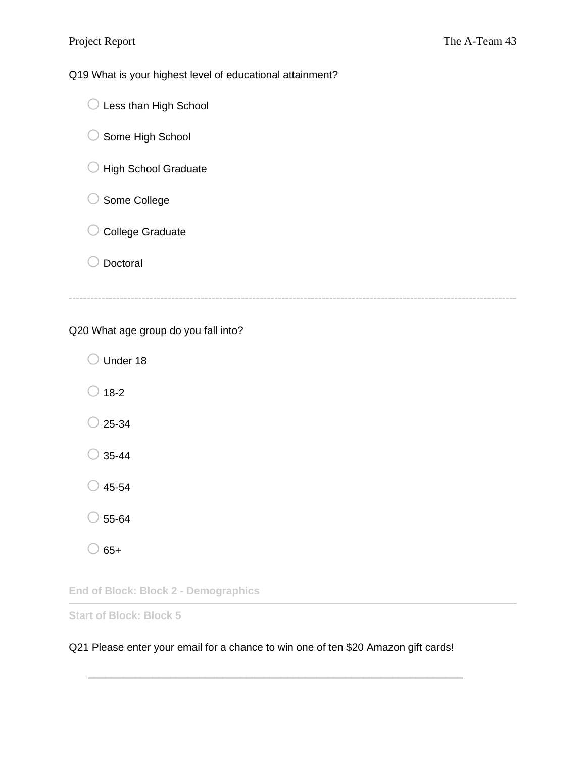Q19 What is your highest level of educational attainment?

| $\bigcirc$ Less than High School |  |
|----------------------------------|--|
| Some High School                 |  |

- $\bigcirc$  High School Graduate
- O Some College
- O College Graduate
- O Doctoral

# Q20 What age group do you fall into?

O Under 18  $\bigcirc$  18-2  $\bigcirc$  25-34  $\bigcirc$  35-44  $\bigcirc$  45-54  $\bigcirc$  55-64  $\bigcirc$  65+

**End of Block: Block 2 - Demographics**

**Start of Block: Block 5**

# Q21 Please enter your email for a chance to win one of ten \$20 Amazon gift cards!

\_\_\_\_\_\_\_\_\_\_\_\_\_\_\_\_\_\_\_\_\_\_\_\_\_\_\_\_\_\_\_\_\_\_\_\_\_\_\_\_\_\_\_\_\_\_\_\_\_\_\_\_\_\_\_\_\_\_\_\_\_\_\_\_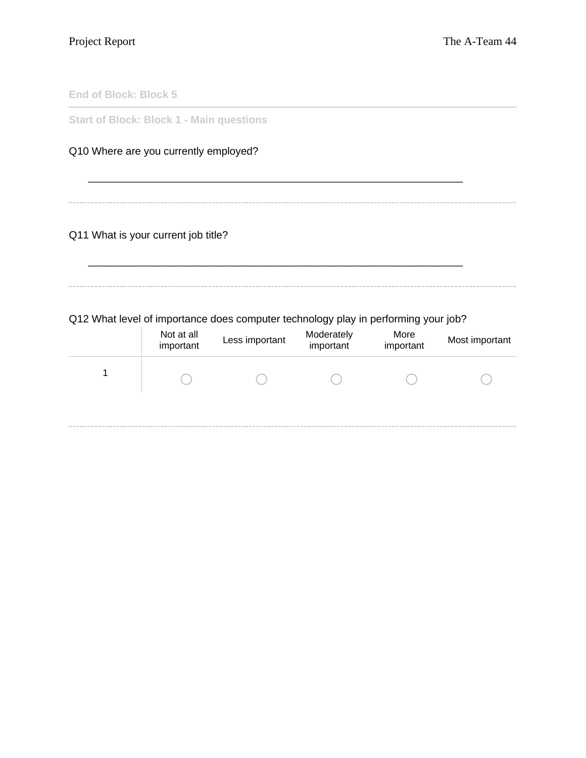**End of Block: Block 5**

**Start of Block: Block 1 - Main questions**

# Q10 Where are you currently employed?

# Q11 What is your current job title?

Q12 What level of importance does computer technology play in performing your job?

\_\_\_\_\_\_\_\_\_\_\_\_\_\_\_\_\_\_\_\_\_\_\_\_\_\_\_\_\_\_\_\_\_\_\_\_\_\_\_\_\_\_\_\_\_\_\_\_\_\_\_\_\_\_\_\_\_\_\_\_\_\_\_\_

| Not at all<br>important | Less important | Moderately<br>important | More<br>important | Most important |
|-------------------------|----------------|-------------------------|-------------------|----------------|
|                         |                |                         |                   |                |
|                         |                |                         |                   |                |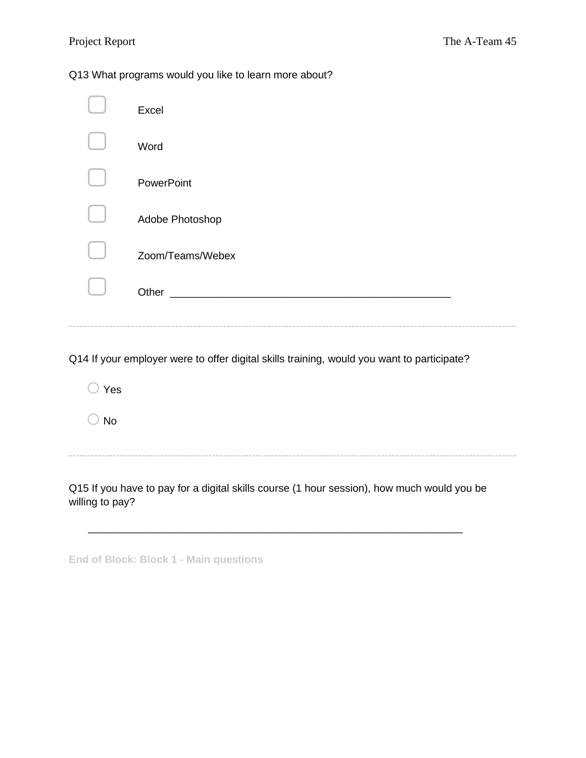# Q13 What programs would you like to learn more about?

| Excel                                                                     |
|---------------------------------------------------------------------------|
| Word                                                                      |
| PowerPoint                                                                |
| Adobe Photoshop                                                           |
| Zoom/Teams/Webex                                                          |
| Other<br><u> 1980 - Jan James James Barnett, fransk politik (d. 1980)</u> |
|                                                                           |

Q14 If your employer were to offer digital skills training, would you want to participate?

o Yes

 $\bigcirc$  No

Q15 If you have to pay for a digital skills course (1 hour session), how much would you be willing to pay?

|  |  | <b>End of Block: Block 1 - Main questions</b> |
|--|--|-----------------------------------------------|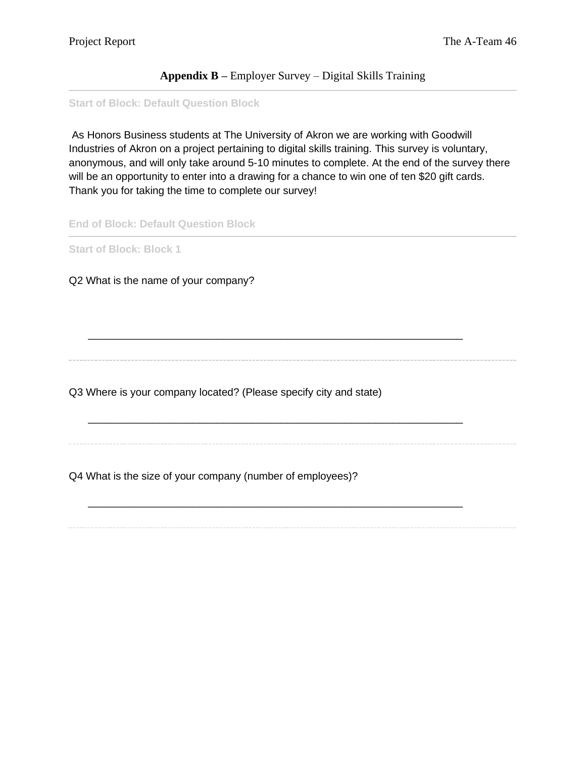# **Appendix B –** Employer Survey – Digital Skills Training

#### **Start of Block: Default Question Block**

As Honors Business students at The University of Akron we are working with Goodwill Industries of Akron on a project pertaining to digital skills training. This survey is voluntary, anonymous, and will only take around 5-10 minutes to complete. At the end of the survey there will be an opportunity to enter into a drawing for a chance to win one of ten \$20 gift cards. Thank you for taking the time to complete our survey!

**End of Block: Default Question Block**

**Start of Block: Block 1**

Q2 What is the name of your company?

\_\_\_\_\_\_\_\_\_\_\_\_\_\_\_\_\_\_\_\_\_\_\_\_\_\_\_\_\_\_\_\_\_\_\_\_\_\_\_\_\_\_\_\_\_\_\_\_\_\_\_\_\_\_\_\_\_\_\_\_\_\_\_\_

\_\_\_\_\_\_\_\_\_\_\_\_\_\_\_\_\_\_\_\_\_\_\_\_\_\_\_\_\_\_\_\_\_\_\_\_\_\_\_\_\_\_\_\_\_\_\_\_\_\_\_\_\_\_\_\_\_\_\_\_\_\_\_\_

\_\_\_\_\_\_\_\_\_\_\_\_\_\_\_\_\_\_\_\_\_\_\_\_\_\_\_\_\_\_\_\_\_\_\_\_\_\_\_\_\_\_\_\_\_\_\_\_\_\_\_\_\_\_\_\_\_\_\_\_\_\_\_\_

Q3 Where is your company located? (Please specify city and state)

Q4 What is the size of your company (number of employees)?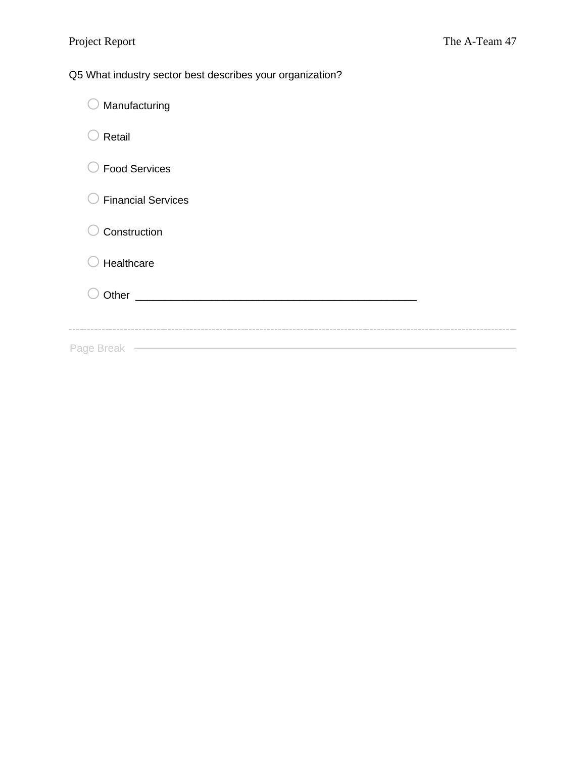Q5 What industry sector best describes your organization?

| Manufacturing                                                                                                                |
|------------------------------------------------------------------------------------------------------------------------------|
| Retail                                                                                                                       |
| <b>Food Services</b>                                                                                                         |
| <b>Financial Services</b>                                                                                                    |
| Construction                                                                                                                 |
| Healthcare                                                                                                                   |
| Other<br><u> 1980 - Jan Barbara, martin da basar da basar da basar da basar da basar da basar da basar da basar da basar</u> |
|                                                                                                                              |
| Page Break                                                                                                                   |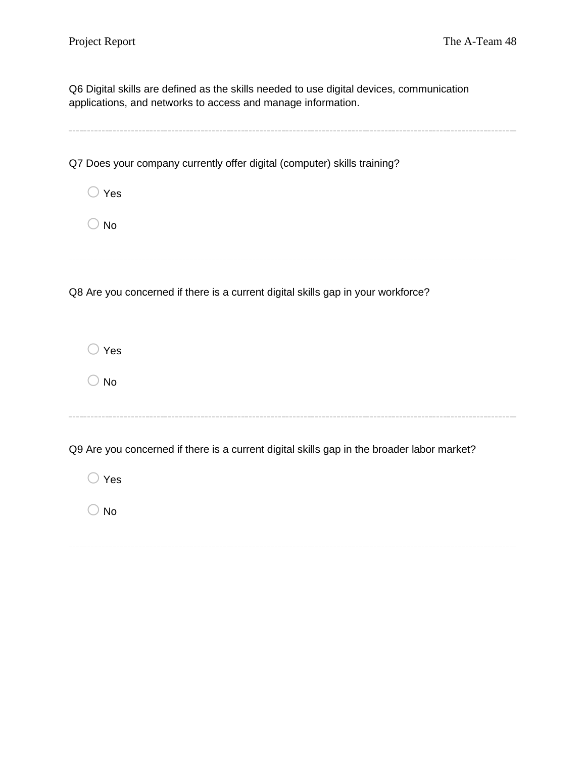Q6 Digital skills are defined as the skills needed to use digital devices, communication applications, and networks to access and manage information.

Q7 Does your company currently offer digital (computer) skills training?

o Yes

 $\bigcirc$  No

o Yes

 $\bigcirc$  No

Q8 Are you concerned if there is a current digital skills gap in your workforce?

Q9 Are you concerned if there is a current digital skills gap in the broader labor market?

o Yes  $\bigcirc$  No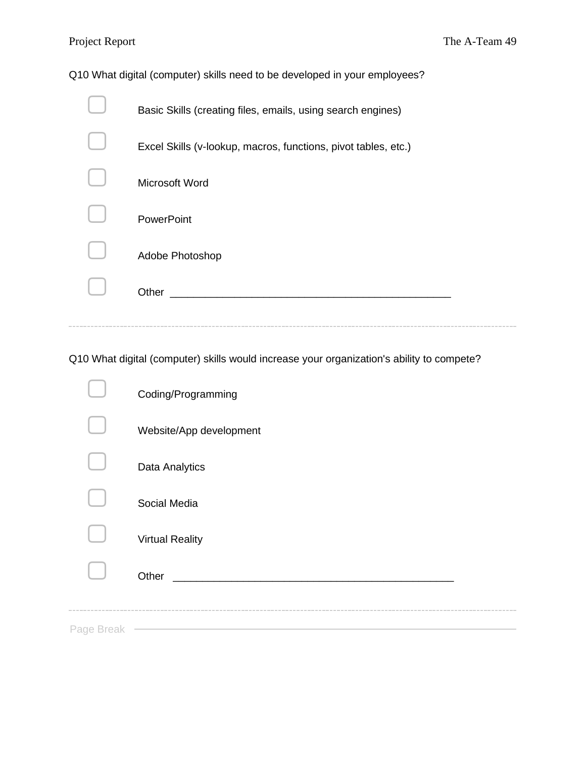Q10 What digital (computer) skills need to be developed in your employees?

| Basic Skills (creating files, emails, using search engines)    |
|----------------------------------------------------------------|
| Excel Skills (v-lookup, macros, functions, pivot tables, etc.) |
| Microsoft Word                                                 |
| <b>PowerPoint</b>                                              |
| Adobe Photoshop                                                |
| Other                                                          |
|                                                                |

Q10 What digital (computer) skills would increase your organization's ability to compete?

|            | Coding/Programming                           |
|------------|----------------------------------------------|
|            | Website/App development                      |
|            | Data Analytics                               |
|            | Social Media                                 |
|            | <b>Virtual Reality</b>                       |
|            | Other<br><u> 1980 - Jan Barbara, mandala</u> |
| Page Break |                                              |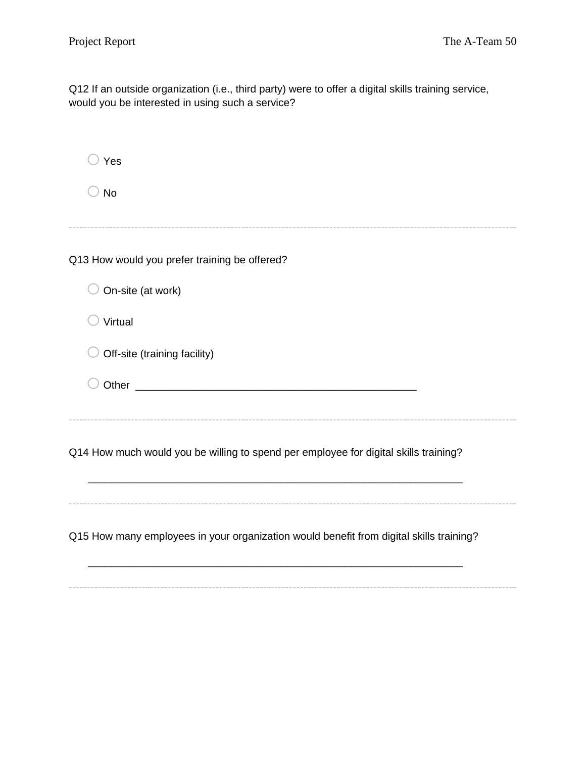Q12 If an outside organization (i.e., third party) were to offer a digital skills training service, would you be interested in using such a service?

| Yes                                                                                     |
|-----------------------------------------------------------------------------------------|
| <b>No</b>                                                                               |
|                                                                                         |
| Q13 How would you prefer training be offered?                                           |
| On-site (at work)                                                                       |
| Virtual                                                                                 |
| Off-site (training facility)                                                            |
|                                                                                         |
|                                                                                         |
| Q14 How much would you be willing to spend per employee for digital skills training?    |
| Q15 How many employees in your organization would benefit from digital skills training? |
|                                                                                         |